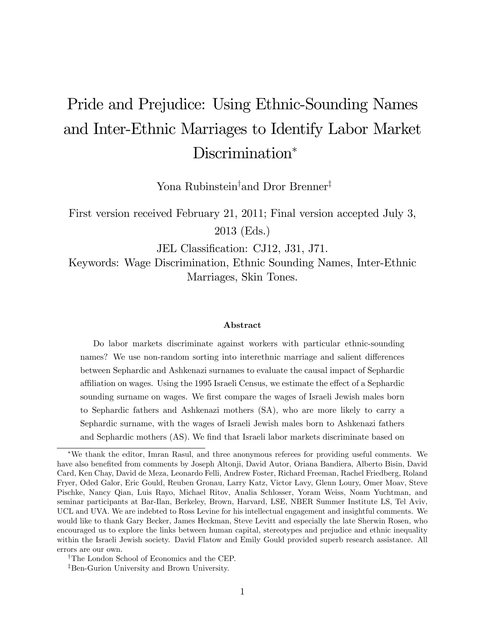# Pride and Prejudice: Using Ethnic-Sounding Names and Inter-Ethnic Marriages to Identify Labor Market Discrimination\*

Yona Rubinstein<sup>†</sup> and Dror Brenner<sup>‡</sup>

First version received February 21, 2011; Final version accepted July 3, 2013 (Eds.)

JEL Classification: CJ12, J31, J71. Keywords: Wage Discrimination, Ethnic Sounding Names, Inter-Ethnic Marriages, Skin Tones.

#### Abstract

Do labor markets discriminate against workers with particular ethnic-sounding names? We use non-random sorting into interethnic marriage and salient differences between Sephardic and Ashkenazi surnames to evaluate the causal impact of Sephardic affiliation on wages. Using the 1995 Israeli Census, we estimate the effect of a Sephardic sounding surname on wages. We first compare the wages of Israeli Jewish males born to Sephardic fathers and Ashkenazi mothers (SA), who are more likely to carry a Sephardic surname, with the wages of Israeli Jewish males born to Ashkenazi fathers and Sephardic mothers (AS). We find that Israeli labor markets discriminate based on

We thank the editor, Imran Rasul, and three anonymous referees for providing useful comments. We have also benefited from comments by Joseph Altonii, David Autor, Oriana Bandiera, Alberto Bisin, David Card, Ken Chay, David de Meza, Leonardo Felli, Andrew Foster, Richard Freeman, Rachel Friedberg, Roland Fryer, Oded Galor, Eric Gould, Reuben Gronau, Larry Katz, Victor Lavy, Glenn Loury, Omer Moav, Steve Pischke, Nancy Qian, Luis Rayo, Michael Ritov, Analia Schlosser, Yoram Weiss, Noam Yuchtman, and seminar participants at Bar-Ilan, Berkeley, Brown, Harvard, LSE, NBER Summer Institute LS, Tel Aviv, UCL and UVA. We are indebted to Ross Levine for his intellectual engagement and insightful comments. We would like to thank Gary Becker, James Heckman, Steve Levitt and especially the late Sherwin Rosen, who encouraged us to explore the links between human capital, stereotypes and prejudice and ethnic inequality within the Israeli Jewish society. David Flatow and Emily Gould provided superb research assistance. All errors are our own.

<sup>&</sup>lt;sup>†</sup>The London School of Economics and the CEP.

<sup>&</sup>lt;sup>‡</sup>Ben-Gurion University and Brown University.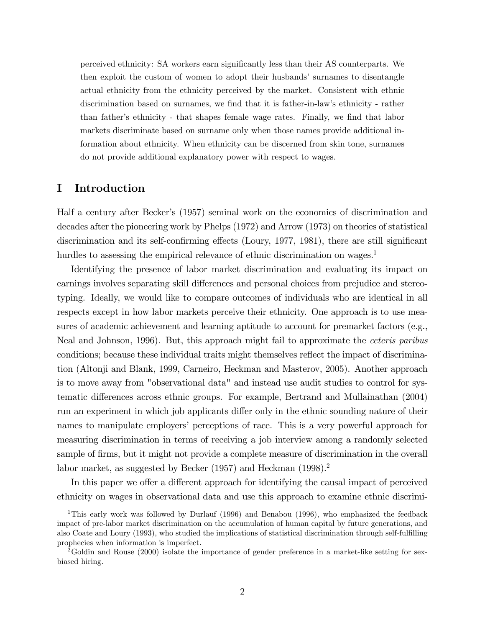perceived ethnicity: SA workers earn signiÖcantly less than their AS counterparts. We then exploit the custom of women to adopt their husbands' surnames to disentangle actual ethnicity from the ethnicity perceived by the market. Consistent with ethnic discrimination based on surnames, we find that it is father-in-law's ethnicity - rather than father's ethnicity - that shapes female wage rates. Finally, we find that labor markets discriminate based on surname only when those names provide additional information about ethnicity. When ethnicity can be discerned from skin tone, surnames do not provide additional explanatory power with respect to wages.

# I Introduction

Half a century after Becker's (1957) seminal work on the economics of discrimination and decades after the pioneering work by Phelps (1972) and Arrow (1973) on theories of statistical discrimination and its self-confirming effects (Loury, 1977, 1981), there are still significant hurdles to assessing the empirical relevance of ethnic discrimination on wages.<sup>1</sup>

Identifying the presence of labor market discrimination and evaluating its impact on earnings involves separating skill differences and personal choices from prejudice and stereotyping. Ideally, we would like to compare outcomes of individuals who are identical in all respects except in how labor markets perceive their ethnicity. One approach is to use measures of academic achievement and learning aptitude to account for premarket factors (e.g., Neal and Johnson, 1996). But, this approach might fail to approximate the ceteris paribus conditions; because these individual traits might themselves reflect the impact of discrimination (Altonji and Blank, 1999, Carneiro, Heckman and Masterov, 2005). Another approach is to move away from "observational data" and instead use audit studies to control for systematic differences across ethnic groups. For example, Bertrand and Mullainathan (2004) run an experiment in which job applicants differ only in the ethnic sounding nature of their names to manipulate employers' perceptions of race. This is a very powerful approach for measuring discrimination in terms of receiving a job interview among a randomly selected sample of firms, but it might not provide a complete measure of discrimination in the overall labor market, as suggested by Becker (1957) and Heckman (1998).<sup>2</sup>

In this paper we offer a different approach for identifying the causal impact of perceived ethnicity on wages in observational data and use this approach to examine ethnic discrimi-

<sup>&</sup>lt;sup>1</sup>This early work was followed by Durlauf (1996) and Benabou (1996), who emphasized the feedback impact of pre-labor market discrimination on the accumulation of human capital by future generations, and also Coate and Loury (1993), who studied the implications of statistical discrimination through self-fulfilling prophecies when information is imperfect.

<sup>2</sup>Goldin and Rouse (2000) isolate the importance of gender preference in a market-like setting for sexbiased hiring.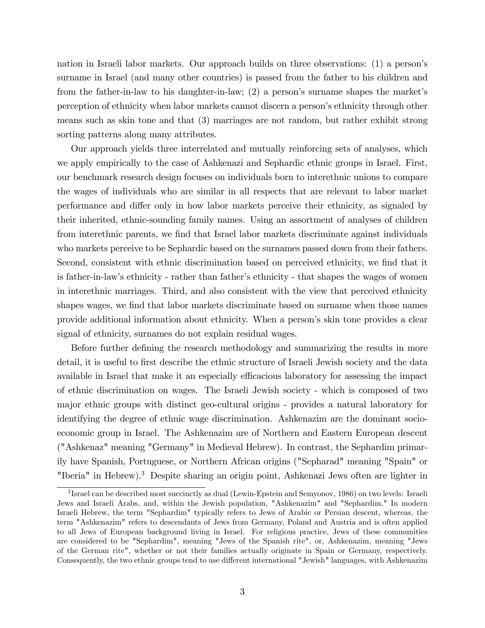nation in Israeli labor markets. Our approach builds on three observations: (1) a person's surname in Israel (and many other countries) is passed from the father to his children and from the father-in-law to his daughter-in-law; (2) a person's surname shapes the market's perception of ethnicity when labor markets cannot discern a personís ethnicity through other means such as skin tone and that (3) marriages are not random, but rather exhibit strong sorting patterns along many attributes.

Our approach yields three interrelated and mutually reinforcing sets of analyses, which we apply empirically to the case of Ashkenazi and Sephardic ethnic groups in Israel. First, our benchmark research design focuses on individuals born to interethnic unions to compare the wages of individuals who are similar in all respects that are relevant to labor market performance and differ only in how labor markets perceive their ethnicity, as signaled by their inherited, ethnic-sounding family names. Using an assortment of analyses of children from interethnic parents, we find that Israel labor markets discriminate against individuals who markets perceive to be Sephardic based on the surnames passed down from their fathers. Second, consistent with ethnic discrimination based on perceived ethnicity, we find that it is father-in-law's ethnicity - rather than father's ethnicity - that shapes the wages of women in interethnic marriages. Third, and also consistent with the view that perceived ethnicity shapes wages, we find that labor markets discriminate based on surname when those names provide additional information about ethnicity. When a person's skin tone provides a clear signal of ethnicity, surnames do not explain residual wages.

Before further defining the research methodology and summarizing the results in more detail, it is useful to first describe the ethnic structure of Israeli Jewish society and the data available in Israel that make it an especially efficacious laboratory for assessing the impact of ethnic discrimination on wages. The Israeli Jewish society - which is composed of two major ethnic groups with distinct geo-cultural origins - provides a natural laboratory for identifying the degree of ethnic wage discrimination. Ashkenazim are the dominant socioeconomic group in Israel. The Ashkenazim are of Northern and Eastern European descent ("Ashkenaz" meaning "Germany" in Medieval Hebrew). In contrast, the Sephardim primarily have Spanish, Portuguese, or Northern African origins ("Sepharad" meaning "Spain" or "Iberia" in Hebrew).<sup>3</sup> Despite sharing an origin point, Ashkenazi Jews often are lighter in

 ${}^{3}$ Israel can be described most succinctly as dual (Lewin-Epstein and Semyonov, 1986) on two levels: Israeli Jews and Israeli Arabs, and, within the Jewish population, "Ashkenazim" and "Sephardim." In modern Israeli Hebrew, the term "Sephardim" typically refers to Jews of Arabic or Persian descent, whereas, the term "Ashkenazim" refers to descendants of Jews from Germany, Poland and Austria and is often applied to all Jews of European background living in Israel. For religious practice, Jews of these communities are considered to be "Sephardim", meaning "Jews of the Spanish rite", or, Ashkenazim, meaning "Jews of the German rite", whether or not their families actually originate in Spain or Germany, respectively. Consequently, the two ethnic groups tend to use different international "Jewish" languages, with Ashkenazim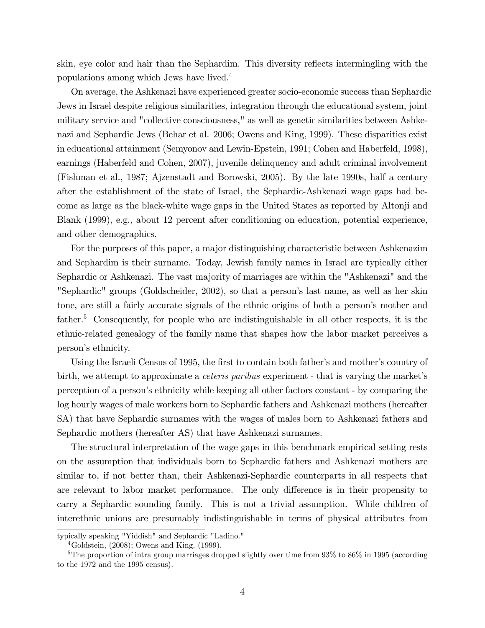skin, eye color and hair than the Sephardim. This diversity reflects intermingling with the populations among which Jews have lived.<sup>4</sup>

On average, the Ashkenazi have experienced greater socio-economic success than Sephardic Jews in Israel despite religious similarities, integration through the educational system, joint military service and "collective consciousness," as well as genetic similarities between Ashkenazi and Sephardic Jews (Behar et al. 2006; Owens and King, 1999). These disparities exist in educational attainment (Semyonov and Lewin-Epstein, 1991; Cohen and Haberfeld, 1998), earnings (Haberfeld and Cohen, 2007), juvenile delinquency and adult criminal involvement (Fishman et al., 1987; Ajzenstadt and Borowski, 2005). By the late 1990s, half a century after the establishment of the state of Israel, the Sephardic-Ashkenazi wage gaps had become as large as the black-white wage gaps in the United States as reported by Altonji and Blank (1999), e.g., about 12 percent after conditioning on education, potential experience, and other demographics.

For the purposes of this paper, a major distinguishing characteristic between Ashkenazim and Sephardim is their surname. Today, Jewish family names in Israel are typically either Sephardic or Ashkenazi. The vast majority of marriages are within the "Ashkenazi" and the "Sephardic" groups (Goldscheider, 2002), so that a person's last name, as well as her skin tone, are still a fairly accurate signals of the ethnic origins of both a person's mother and father.<sup>5</sup> Consequently, for people who are indistinguishable in all other respects, it is the ethnic-related genealogy of the family name that shapes how the labor market perceives a person's ethnicity.

Using the Israeli Census of 1995, the first to contain both father's and mother's country of birth, we attempt to approximate a *ceteris paribus* experiment - that is varying the market's perception of a personís ethnicity while keeping all other factors constant - by comparing the log hourly wages of male workers born to Sephardic fathers and Ashkenazi mothers (hereafter SA) that have Sephardic surnames with the wages of males born to Ashkenazi fathers and Sephardic mothers (hereafter AS) that have Ashkenazi surnames.

The structural interpretation of the wage gaps in this benchmark empirical setting rests on the assumption that individuals born to Sephardic fathers and Ashkenazi mothers are similar to, if not better than, their Ashkenazi-Sephardic counterparts in all respects that are relevant to labor market performance. The only difference is in their propensity to carry a Sephardic sounding family. This is not a trivial assumption. While children of interethnic unions are presumably indistinguishable in terms of physical attributes from

typically speaking "Yiddish" and Sephardic "Ladino."

 $4Goldstein, (2008);$  Owens and King,  $(1999).$ 

<sup>&</sup>lt;sup>5</sup>The proportion of intra group marriages dropped slightly over time from  $93\%$  to  $86\%$  in 1995 (according to the 1972 and the 1995 census).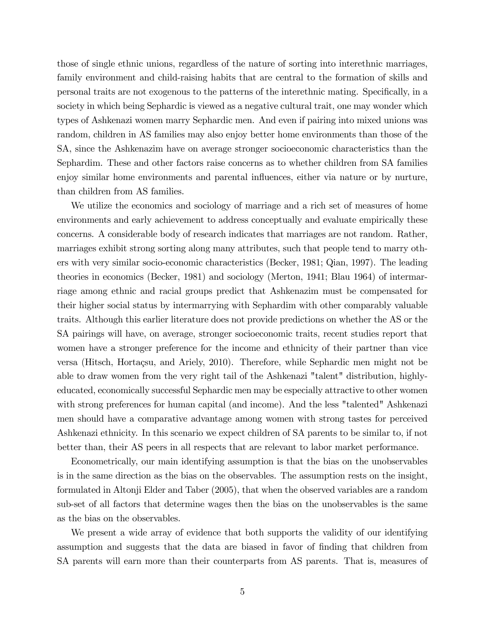those of single ethnic unions, regardless of the nature of sorting into interethnic marriages, family environment and child-raising habits that are central to the formation of skills and personal traits are not exogenous to the patterns of the interethnic mating. Specifically, in a society in which being Sephardic is viewed as a negative cultural trait, one may wonder which types of Ashkenazi women marry Sephardic men. And even if pairing into mixed unions was random, children in AS families may also enjoy better home environments than those of the SA, since the Ashkenazim have on average stronger socioeconomic characteristics than the Sephardim. These and other factors raise concerns as to whether children from SA families enjoy similar home environments and parental influences, either via nature or by nurture, than children from AS families.

We utilize the economics and sociology of marriage and a rich set of measures of home environments and early achievement to address conceptually and evaluate empirically these concerns. A considerable body of research indicates that marriages are not random. Rather, marriages exhibit strong sorting along many attributes, such that people tend to marry others with very similar socio-economic characteristics (Becker, 1981; Qian, 1997). The leading theories in economics (Becker, 1981) and sociology (Merton, 1941; Blau 1964) of intermarriage among ethnic and racial groups predict that Ashkenazim must be compensated for their higher social status by intermarrying with Sephardim with other comparably valuable traits. Although this earlier literature does not provide predictions on whether the AS or the SA pairings will have, on average, stronger socioeconomic traits, recent studies report that women have a stronger preference for the income and ethnicity of their partner than vice versa (Hitsch, Hortaçsu, and Ariely, 2010). Therefore, while Sephardic men might not be able to draw women from the very right tail of the Ashkenazi "talent" distribution, highlyeducated, economically successful Sephardic men may be especially attractive to other women with strong preferences for human capital (and income). And the less "talented" Ashkenazi men should have a comparative advantage among women with strong tastes for perceived Ashkenazi ethnicity. In this scenario we expect children of SA parents to be similar to, if not better than, their AS peers in all respects that are relevant to labor market performance.

Econometrically, our main identifying assumption is that the bias on the unobservables is in the same direction as the bias on the observables. The assumption rests on the insight, formulated in Altonji Elder and Taber (2005), that when the observed variables are a random sub-set of all factors that determine wages then the bias on the unobservables is the same as the bias on the observables.

We present a wide array of evidence that both supports the validity of our identifying assumption and suggests that the data are biased in favor of finding that children from SA parents will earn more than their counterparts from AS parents. That is, measures of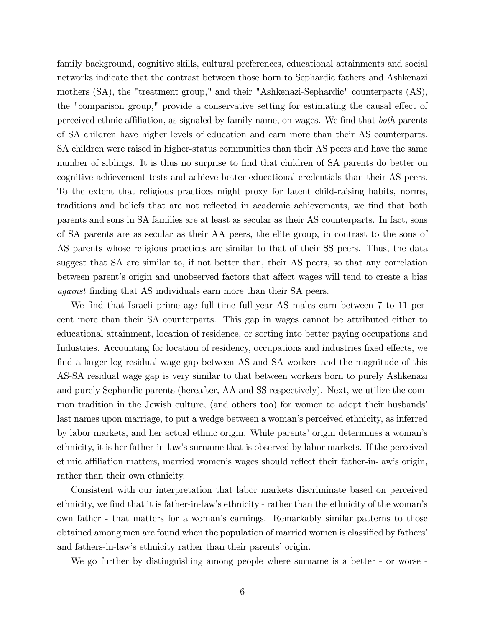family background, cognitive skills, cultural preferences, educational attainments and social networks indicate that the contrast between those born to Sephardic fathers and Ashkenazi mothers (SA), the "treatment group," and their "Ashkenazi-Sephardic" counterparts (AS), the "comparison group," provide a conservative setting for estimating the causal effect of perceived ethnic affiliation, as signaled by family name, on wages. We find that *both* parents of SA children have higher levels of education and earn more than their AS counterparts. SA children were raised in higher-status communities than their AS peers and have the same number of siblings. It is thus no surprise to find that children of SA parents do better on cognitive achievement tests and achieve better educational credentials than their AS peers. To the extent that religious practices might proxy for latent child-raising habits, norms, traditions and beliefs that are not reflected in academic achievements, we find that both parents and sons in SA families are at least as secular as their AS counterparts. In fact, sons of SA parents are as secular as their AA peers, the elite group, in contrast to the sons of AS parents whose religious practices are similar to that of their SS peers. Thus, the data suggest that SA are similar to, if not better than, their AS peers, so that any correlation between parent's origin and unobserved factors that affect wages will tend to create a bias against finding that AS individuals earn more than their SA peers.

We find that Israeli prime age full-time full-year AS males earn between 7 to 11 percent more than their SA counterparts. This gap in wages cannot be attributed either to educational attainment, location of residence, or sorting into better paying occupations and Industries. Accounting for location of residency, occupations and industries fixed effects, we find a larger log residual wage gap between AS and SA workers and the magnitude of this AS-SA residual wage gap is very similar to that between workers born to purely Ashkenazi and purely Sephardic parents (hereafter, AA and SS respectively). Next, we utilize the common tradition in the Jewish culture, (and others too) for women to adopt their husbands last names upon marriage, to put a wedge between a womanís perceived ethnicity, as inferred by labor markets, and her actual ethnic origin. While parents' origin determines a woman's ethnicity, it is her father-in-lawís surname that is observed by labor markets. If the perceived ethnic affiliation matters, married women's wages should reflect their father-in-law's origin, rather than their own ethnicity.

Consistent with our interpretation that labor markets discriminate based on perceived ethnicity, we find that it is father-in-law's ethnicity - rather than the ethnicity of the woman's own father - that matters for a womanís earnings. Remarkably similar patterns to those obtained among men are found when the population of married women is classified by fathers' and fathers-in-law's ethnicity rather than their parents' origin.

We go further by distinguishing among people where surname is a better - or worse -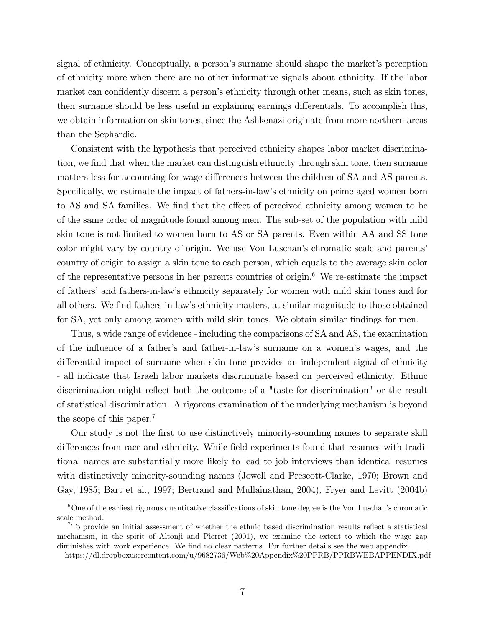signal of ethnicity. Conceptually, a person's surname should shape the market's perception of ethnicity more when there are no other informative signals about ethnicity. If the labor market can confidently discern a person's ethnicity through other means, such as skin tones, then surname should be less useful in explaining earnings differentials. To accomplish this, we obtain information on skin tones, since the Ashkenazi originate from more northern areas than the Sephardic.

Consistent with the hypothesis that perceived ethnicity shapes labor market discrimination, we find that when the market can distinguish ethnicity through skin tone, then surname matters less for accounting for wage differences between the children of SA and AS parents. Specifically, we estimate the impact of fathers-in-law's ethnicity on prime aged women born to AS and SA families. We find that the effect of perceived ethnicity among women to be of the same order of magnitude found among men. The sub-set of the population with mild skin tone is not limited to women born to AS or SA parents. Even within AA and SS tone color might vary by country of origin. We use Von Luschan's chromatic scale and parents' country of origin to assign a skin tone to each person, which equals to the average skin color of the representative persons in her parents countries of origin.<sup>6</sup> We re-estimate the impact of fathersíand fathers-in-lawís ethnicity separately for women with mild skin tones and for all others. We find fathers-in-law's ethnicity matters, at similar magnitude to those obtained for SA, yet only among women with mild skin tones. We obtain similar findings for men.

Thus, a wide range of evidence - including the comparisons of SA and AS, the examination of the influence of a father's and father-in-law's surname on a women's wages, and the differential impact of surname when skin tone provides an independent signal of ethnicity - all indicate that Israeli labor markets discriminate based on perceived ethnicity. Ethnic discrimination might reflect both the outcome of a "taste for discrimination" or the result of statistical discrimination. A rigorous examination of the underlying mechanism is beyond the scope of this paper.<sup>7</sup>

Our study is not the Örst to use distinctively minority-sounding names to separate skill differences from race and ethnicity. While field experiments found that resumes with traditional names are substantially more likely to lead to job interviews than identical resumes with distinctively minority-sounding names (Jowell and Prescott-Clarke, 1970; Brown and Gay, 1985; Bart et al., 1997; Bertrand and Mullainathan, 2004), Fryer and Levitt (2004b)

 $6$ One of the earliest rigorous quantitative classifications of skin tone degree is the Von Luschan's chromatic scale method.

 $7$ To provide an initial assessment of whether the ethnic based discrimination results reflect a statistical mechanism, in the spirit of Altonji and Pierret (2001), we examine the extent to which the wage gap diminishes with work experience. We find no clear patterns. For further details see the web appendix.

https://dl.dropboxusercontent.com/u/9682736/Web%20Appendix%20PPRB/PPRBWEBAPPENDIX.pdf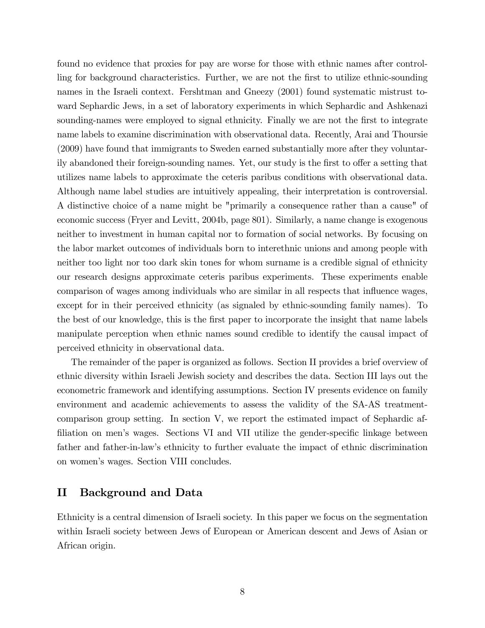found no evidence that proxies for pay are worse for those with ethnic names after controlling for background characteristics. Further, we are not the first to utilize ethnic-sounding names in the Israeli context. Fershtman and Gneezy (2001) found systematic mistrust toward Sephardic Jews, in a set of laboratory experiments in which Sephardic and Ashkenazi sounding-names were employed to signal ethnicity. Finally we are not the first to integrate name labels to examine discrimination with observational data. Recently, Arai and Thoursie (2009) have found that immigrants to Sweden earned substantially more after they voluntarily abandoned their foreign-sounding names. Yet, our study is the first to offer a setting that utilizes name labels to approximate the ceteris paribus conditions with observational data. Although name label studies are intuitively appealing, their interpretation is controversial. A distinctive choice of a name might be "primarily a consequence rather than a cause" of economic success (Fryer and Levitt, 2004b, page 801). Similarly, a name change is exogenous neither to investment in human capital nor to formation of social networks. By focusing on the labor market outcomes of individuals born to interethnic unions and among people with neither too light nor too dark skin tones for whom surname is a credible signal of ethnicity our research designs approximate ceteris paribus experiments. These experiments enable comparison of wages among individuals who are similar in all respects that influence wages, except for in their perceived ethnicity (as signaled by ethnic-sounding family names). To the best of our knowledge, this is the first paper to incorporate the insight that name labels manipulate perception when ethnic names sound credible to identify the causal impact of perceived ethnicity in observational data.

The remainder of the paper is organized as follows. Section II provides a brief overview of ethnic diversity within Israeli Jewish society and describes the data. Section III lays out the econometric framework and identifying assumptions. Section IV presents evidence on family environment and academic achievements to assess the validity of the SA-AS treatmentcomparison group setting. In section V, we report the estimated impact of Sephardic affiliation on men's wages. Sections VI and VII utilize the gender-specific linkage between father and father-in-law's ethnicity to further evaluate the impact of ethnic discrimination on womenís wages. Section VIII concludes.

# II Background and Data

Ethnicity is a central dimension of Israeli society. In this paper we focus on the segmentation within Israeli society between Jews of European or American descent and Jews of Asian or African origin.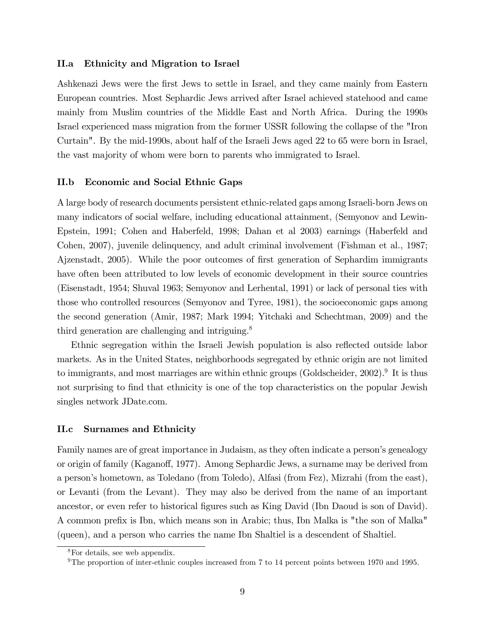#### II.a Ethnicity and Migration to Israel

Ashkenazi Jews were the first Jews to settle in Israel, and they came mainly from Eastern European countries. Most Sephardic Jews arrived after Israel achieved statehood and came mainly from Muslim countries of the Middle East and North Africa. During the 1990s Israel experienced mass migration from the former USSR following the collapse of the "Iron Curtain". By the mid-1990s, about half of the Israeli Jews aged 22 to 65 were born in Israel, the vast majority of whom were born to parents who immigrated to Israel.

#### II.b Economic and Social Ethnic Gaps

A large body of research documents persistent ethnic-related gaps among Israeli-born Jews on many indicators of social welfare, including educational attainment, (Semyonov and Lewin-Epstein, 1991; Cohen and Haberfeld, 1998; Dahan et al 2003) earnings (Haberfeld and Cohen, 2007), juvenile delinquency, and adult criminal involvement (Fishman et al., 1987; Ajzenstadt, 2005). While the poor outcomes of first generation of Sephardim immigrants have often been attributed to low levels of economic development in their source countries (Eisenstadt, 1954; Shuval 1963; Semyonov and Lerhental, 1991) or lack of personal ties with those who controlled resources (Semyonov and Tyree, 1981), the socioeconomic gaps among the second generation (Amir, 1987; Mark 1994; Yitchaki and Schechtman, 2009) and the third generation are challenging and intriguing.<sup>8</sup>

Ethnic segregation within the Israeli Jewish population is also reflected outside labor markets. As in the United States, neighborhoods segregated by ethnic origin are not limited to immigrants, and most marriages are within ethnic groups (Goldscheider, 2002).<sup>9</sup> It is thus not surprising to find that ethnicity is one of the top characteristics on the popular Jewish singles network JDate.com.

#### II.c Surnames and Ethnicity

Family names are of great importance in Judaism, as they often indicate a person's genealogy or origin of family (Kaganoff, 1977). Among Sephardic Jews, a surname may be derived from a personís hometown, as Toledano (from Toledo), Alfasi (from Fez), Mizrahi (from the east), or Levanti (from the Levant). They may also be derived from the name of an important ancestor, or even refer to historical figures such as King David (Ibn Daoud is son of David). A common prefix is Ibn, which means son in Arabic; thus, Ibn Malka is "the son of Malka" (queen), and a person who carries the name Ibn Shaltiel is a descendent of Shaltiel.

<sup>8</sup>For details, see web appendix.

 $9$ The proportion of inter-ethnic couples increased from 7 to 14 percent points between 1970 and 1995.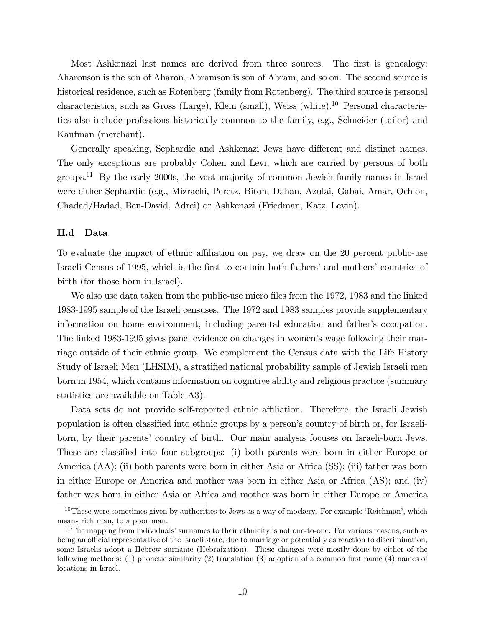Most Ashkenazi last names are derived from three sources. The first is genealogy: Aharonson is the son of Aharon, Abramson is son of Abram, and so on. The second source is historical residence, such as Rotenberg (family from Rotenberg). The third source is personal characteristics, such as Gross (Large), Klein (small), Weiss (white).<sup>10</sup> Personal characteristics also include professions historically common to the family, e.g., Schneider (tailor) and Kaufman (merchant).

Generally speaking, Sephardic and Ashkenazi Jews have different and distinct names. The only exceptions are probably Cohen and Levi, which are carried by persons of both groups.<sup>11</sup> By the early 2000s, the vast majority of common Jewish family names in Israel were either Sephardic (e.g., Mizrachi, Peretz, Biton, Dahan, Azulai, Gabai, Amar, Ochion, Chadad/Hadad, Ben-David, Adrei) or Ashkenazi (Friedman, Katz, Levin).

#### II.d Data

To evaluate the impact of ethnic affiliation on pay, we draw on the 20 percent public-use Israeli Census of 1995, which is the first to contain both fathers' and mothers' countries of birth (for those born in Israel).

We also use data taken from the public-use micro files from the 1972, 1983 and the linked 1983-1995 sample of the Israeli censuses. The 1972 and 1983 samples provide supplementary information on home environment, including parental education and father's occupation. The linked 1983-1995 gives panel evidence on changes in womenís wage following their marriage outside of their ethnic group. We complement the Census data with the Life History Study of Israeli Men (LHSIM), a stratified national probability sample of Jewish Israeli men born in 1954, which contains information on cognitive ability and religious practice (summary statistics are available on Table A3).

Data sets do not provide self-reported ethnic affiliation. Therefore, the Israeli Jewish population is often classified into ethnic groups by a person's country of birth or, for Israeliborn, by their parentsí country of birth. Our main analysis focuses on Israeli-born Jews. These are classified into four subgroups: (i) both parents were born in either Europe or America (AA); (ii) both parents were born in either Asia or Africa (SS); (iii) father was born in either Europe or America and mother was born in either Asia or Africa (AS); and (iv) father was born in either Asia or Africa and mother was born in either Europe or America

 $10$ These were sometimes given by authorities to Jews as a way of mockery. For example 'Reichman', which means rich man, to a poor man.

 $11$ The mapping from individuals' surnames to their ethnicity is not one-to-one. For various reasons, such as being an official representative of the Israeli state, due to marriage or potentially as reaction to discrimination, some Israelis adopt a Hebrew surname (Hebraization). These changes were mostly done by either of the following methods: (1) phonetic similarity (2) translation (3) adoption of a common first name (4) names of locations in Israel.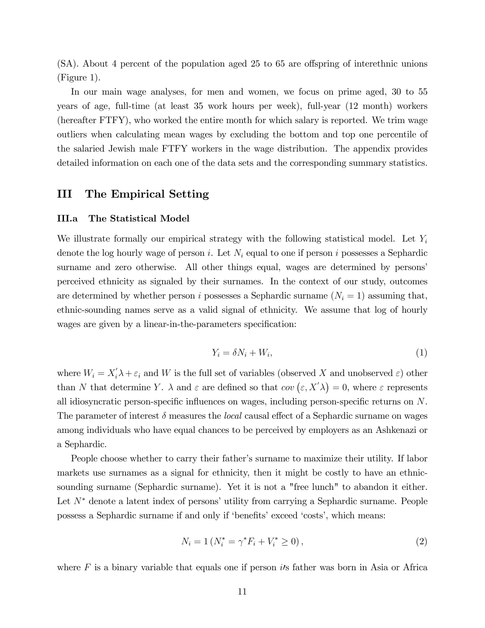$(SA)$ . About 4 percent of the population aged 25 to 65 are offspring of interethnic unions (Figure 1).

In our main wage analyses, for men and women, we focus on prime aged, 30 to 55 years of age, full-time (at least 35 work hours per week), full-year (12 month) workers (hereafter FTFY), who worked the entire month for which salary is reported. We trim wage outliers when calculating mean wages by excluding the bottom and top one percentile of the salaried Jewish male FTFY workers in the wage distribution. The appendix provides detailed information on each one of the data sets and the corresponding summary statistics.

### III The Empirical Setting

#### III.a The Statistical Model

We illustrate formally our empirical strategy with the following statistical model. Let  $Y_i$ denote the log hourly wage of person i. Let  $N_i$  equal to one if person i possesses a Sephardic surname and zero otherwise. All other things equal, wages are determined by persons perceived ethnicity as signaled by their surnames. In the context of our study, outcomes are determined by whether person i possesses a Sephardic surname  $(N<sub>i</sub> = 1)$  assuming that, ethnic-sounding names serve as a valid signal of ethnicity. We assume that log of hourly wages are given by a linear-in-the-parameters specification:

$$
Y_i = \delta N_i + W_i,\tag{1}
$$

where  $W_i = X_i' \lambda + \varepsilon_i$  and W is the full set of variables (observed X and unobserved  $\varepsilon$ ) other than N that determine Y.  $\lambda$  and  $\varepsilon$  are defined so that  $cov(\varepsilon, X^{\prime}\lambda) = 0$ , where  $\varepsilon$  represents all idiosyncratic person-specific influences on wages, including person-specific returns on  $N$ . The parameter of interest  $\delta$  measures the *local* causal effect of a Sephardic surname on wages among individuals who have equal chances to be perceived by employers as an Ashkenazi or a Sephardic.

People choose whether to carry their father's surname to maximize their utility. If labor markets use surnames as a signal for ethnicity, then it might be costly to have an ethnicsounding surname (Sephardic surname). Yet it is not a "free lunch" to abandon it either. Let  $N^*$  denote a latent index of persons' utility from carrying a Sephardic surname. People possess a Sephardic surname if and only if 'benefits' exceed 'costs', which means:

$$
N_i = 1 \left( N_i^* = \gamma^* F_i + V_i^* \ge 0 \right), \tag{2}
$$

where  $F$  is a binary variable that equals one if person is father was born in Asia or Africa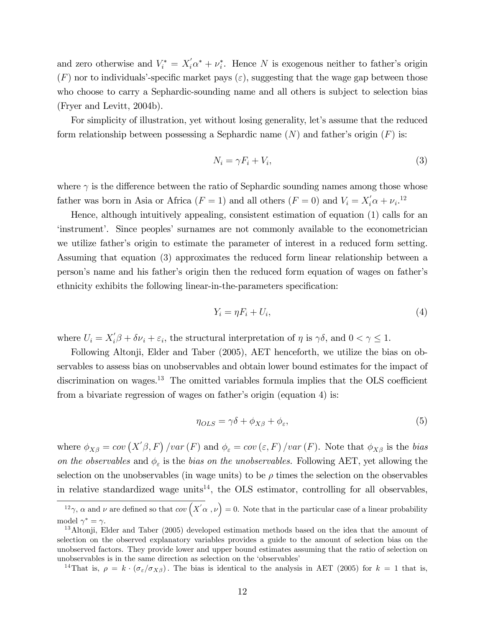and zero otherwise and  $V_i^* = X_i' \alpha^* + \nu_i^*$ . Hence N is exogenous neither to father's origin (F) nor to individuals'-specific market pays ( $\varepsilon$ ), suggesting that the wage gap between those who choose to carry a Sephardic-sounding name and all others is subject to selection bias (Fryer and Levitt, 2004b).

For simplicity of illustration, yet without losing generality, let's assume that the reduced form relationship between possessing a Sephardic name  $(N)$  and father's origin  $(F)$  is:

$$
N_i = \gamma F_i + V_i,\tag{3}
$$

where  $\gamma$  is the difference between the ratio of Sephardic sounding names among those whose father was born in Asia or Africa  $(F = 1)$  and all others  $(F = 0)$  and  $V_i = X'_i \alpha + \nu_i$ <sup>12</sup>

Hence, although intuitively appealing, consistent estimation of equation (1) calls for an ëinstrumentí. Since peoplesí surnames are not commonly available to the econometrician we utilize father's origin to estimate the parameter of interest in a reduced form setting. Assuming that equation (3) approximates the reduced form linear relationship between a personís name and his fatherís origin then the reduced form equation of wages on fatherís ethnicity exhibits the following linear-in-the-parameters specification:

$$
Y_i = \eta F_i + U_i,\tag{4}
$$

where  $U_i = X_i' \beta + \delta \nu_i + \varepsilon_i$ , the structural interpretation of  $\eta$  is  $\gamma \delta$ , and  $0 < \gamma \leq 1$ .

Following Altonji, Elder and Taber (2005), AET henceforth, we utilize the bias on observables to assess bias on unobservables and obtain lower bound estimates for the impact of discrimination on wages.<sup>13</sup> The omitted variables formula implies that the OLS coefficient from a bivariate regression of wages on father's origin (equation 4) is:

$$
\eta_{OLS} = \gamma \delta + \phi_{X\beta} + \phi_{\varepsilon},\tag{5}
$$

where  $\phi_{X\beta} = cov(X'\beta, F) / var(F)$  and  $\phi_{\varepsilon} = cov(\varepsilon, F) / var(F)$ . Note that  $\phi_{X\beta}$  is the bias on the observables and  $\phi_{\varepsilon}$  is the bias on the unobservables. Following AET, yet allowing the selection on the unobservables (in wage units) to be  $\rho$  times the selection on the observables in relative standardized wage units<sup>14</sup>, the OLS estimator, controlling for all observables,

 $e^{12}\gamma$ ,  $\alpha$  and  $\nu$  are defined so that  $cov(X' \alpha, \nu) = 0$ . Note that in the particular case of a linear probability model  $\gamma^* = \gamma$ .

<sup>&</sup>lt;sup>13</sup>Altonji, Elder and Taber (2005) developed estimation methods based on the idea that the amount of selection on the observed explanatory variables provides a guide to the amount of selection bias on the unobserved factors. They provide lower and upper bound estimates assuming that the ratio of selection on unobservables is in the same direction as selection on the 'observables'

<sup>&</sup>lt;sup>14</sup>That is,  $\rho = k \cdot (\sigma_{\varepsilon}/\sigma_{X\beta})$ . The bias is identical to the analysis in AET (2005) for  $k = 1$  that is,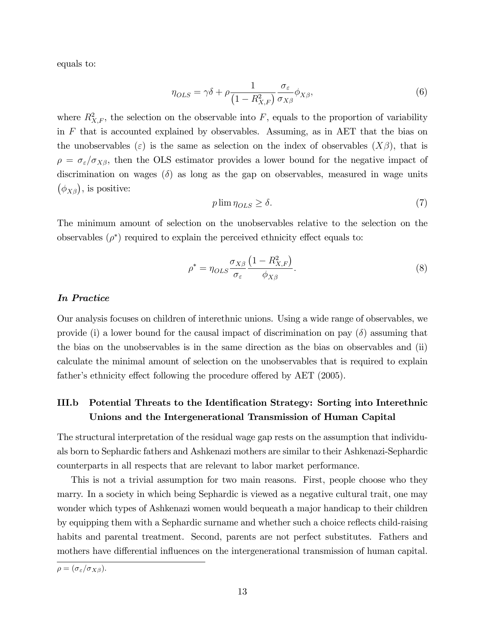equals to:

$$
\eta_{OLS} = \gamma \delta + \rho \frac{1}{\left(1 - R_{X,F}^2\right)} \frac{\sigma_{\varepsilon}}{\sigma_{X\beta}} \phi_{X\beta},\tag{6}
$$

where  $R_{X,F}^2$ , the selection on the observable into F, equals to the proportion of variability in  $F$  that is accounted explained by observables. Assuming, as in AET that the bias on the unobservables ( $\varepsilon$ ) is the same as selection on the index of observables  $(X\beta)$ , that is  $\rho = \sigma_{\varepsilon}/\sigma_{X\beta}$ , then the OLS estimator provides a lower bound for the negative impact of discrimination on wages  $(\delta)$  as long as the gap on observables, measured in wage units  $(\phi_{X\beta})$ , is positive:

$$
p \lim \eta_{OLS} \ge \delta. \tag{7}
$$

The minimum amount of selection on the unobservables relative to the selection on the observables  $(\rho^*)$  required to explain the perceived ethnicity effect equals to:

$$
\rho^* = \eta_{OLS} \frac{\sigma_{X\beta}}{\sigma_{\varepsilon}} \frac{\left(1 - R_{X,F}^2\right)}{\phi_{X\beta}}.
$$
\n
$$
(8)
$$

#### In Practice

Our analysis focuses on children of interethnic unions. Using a wide range of observables, we provide (i) a lower bound for the causal impact of discrimination on pay  $(\delta)$  assuming that the bias on the unobservables is in the same direction as the bias on observables and (ii) calculate the minimal amount of selection on the unobservables that is required to explain father's ethnicity effect following the procedure offered by AET (2005).

# III.b Potential Threats to the Identification Strategy: Sorting into Interethnic Unions and the Intergenerational Transmission of Human Capital

The structural interpretation of the residual wage gap rests on the assumption that individuals born to Sephardic fathers and Ashkenazi mothers are similar to their Ashkenazi-Sephardic counterparts in all respects that are relevant to labor market performance.

This is not a trivial assumption for two main reasons. First, people choose who they marry. In a society in which being Sephardic is viewed as a negative cultural trait, one may wonder which types of Ashkenazi women would bequeath a major handicap to their children by equipping them with a Sephardic surname and whether such a choice reflects child-raising habits and parental treatment. Second, parents are not perfect substitutes. Fathers and mothers have differential influences on the intergenerational transmission of human capital.

$$
\rho = (\sigma_{\varepsilon}/\sigma_{X\beta}).
$$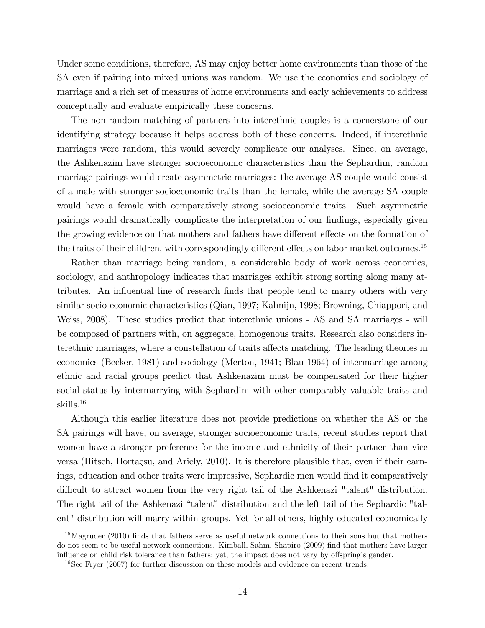Under some conditions, therefore, AS may enjoy better home environments than those of the SA even if pairing into mixed unions was random. We use the economics and sociology of marriage and a rich set of measures of home environments and early achievements to address conceptually and evaluate empirically these concerns.

The non-random matching of partners into interethnic couples is a cornerstone of our identifying strategy because it helps address both of these concerns. Indeed, if interethnic marriages were random, this would severely complicate our analyses. Since, on average, the Ashkenazim have stronger socioeconomic characteristics than the Sephardim, random marriage pairings would create asymmetric marriages: the average AS couple would consist of a male with stronger socioeconomic traits than the female, while the average SA couple would have a female with comparatively strong socioeconomic traits. Such asymmetric pairings would dramatically complicate the interpretation of our findings, especially given the growing evidence on that mothers and fathers have different effects on the formation of the traits of their children, with correspondingly different effects on labor market outcomes.<sup>15</sup>

Rather than marriage being random, a considerable body of work across economics, sociology, and anthropology indicates that marriages exhibit strong sorting along many attributes. An influential line of research finds that people tend to marry others with very similar socio-economic characteristics (Qian, 1997; Kalmijn, 1998; Browning, Chiappori, and Weiss, 2008). These studies predict that interethnic unions - AS and SA marriages - will be composed of partners with, on aggregate, homogenous traits. Research also considers interethnic marriages, where a constellation of traits affects matching. The leading theories in economics (Becker, 1981) and sociology (Merton, 1941; Blau 1964) of intermarriage among ethnic and racial groups predict that Ashkenazim must be compensated for their higher social status by intermarrying with Sephardim with other comparably valuable traits and skills.<sup>16</sup>

Although this earlier literature does not provide predictions on whether the AS or the SA pairings will have, on average, stronger socioeconomic traits, recent studies report that women have a stronger preference for the income and ethnicity of their partner than vice versa (Hitsch, Hortaçsu, and Ariely, 2010). It is therefore plausible that, even if their earnings, education and other traits were impressive, Sephardic men would find it comparatively difficult to attract women from the very right tail of the Ashkenazi "talent" distribution. The right tail of the Ashkenazi "talent" distribution and the left tail of the Sephardic "talent" distribution will marry within groups. Yet for all others, highly educated economically

<sup>&</sup>lt;sup>15</sup>Magruder (2010) finds that fathers serve as useful network connections to their sons but that mothers do not seem to be useful network connections. Kimball, Sahm, Shapiro (2009) find that mothers have larger influence on child risk tolerance than fathers; yet, the impact does not vary by offspring's gender.

<sup>&</sup>lt;sup>16</sup>See Fryer (2007) for further discussion on these models and evidence on recent trends.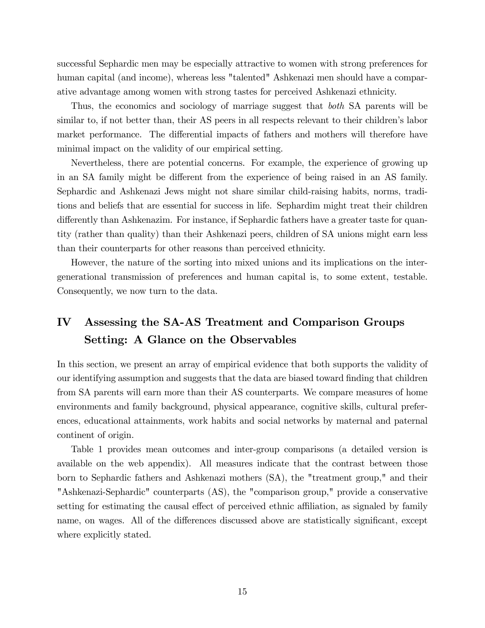successful Sephardic men may be especially attractive to women with strong preferences for human capital (and income), whereas less "talented" Ashkenazi men should have a comparative advantage among women with strong tastes for perceived Ashkenazi ethnicity.

Thus, the economics and sociology of marriage suggest that *both* SA parents will be similar to, if not better than, their AS peers in all respects relevant to their children's labor market performance. The differential impacts of fathers and mothers will therefore have minimal impact on the validity of our empirical setting.

Nevertheless, there are potential concerns. For example, the experience of growing up in an SA family might be different from the experience of being raised in an AS family. Sephardic and Ashkenazi Jews might not share similar child-raising habits, norms, traditions and beliefs that are essential for success in life. Sephardim might treat their children differently than Ashkenazim. For instance, if Sephardic fathers have a greater taste for quantity (rather than quality) than their Ashkenazi peers, children of SA unions might earn less than their counterparts for other reasons than perceived ethnicity.

However, the nature of the sorting into mixed unions and its implications on the intergenerational transmission of preferences and human capital is, to some extent, testable. Consequently, we now turn to the data.

# IV Assessing the SA-AS Treatment and Comparison Groups Setting: A Glance on the Observables

In this section, we present an array of empirical evidence that both supports the validity of our identifying assumption and suggests that the data are biased toward Önding that children from SA parents will earn more than their AS counterparts. We compare measures of home environments and family background, physical appearance, cognitive skills, cultural preferences, educational attainments, work habits and social networks by maternal and paternal continent of origin.

Table 1 provides mean outcomes and inter-group comparisons (a detailed version is available on the web appendix). All measures indicate that the contrast between those born to Sephardic fathers and Ashkenazi mothers (SA), the "treatment group," and their "Ashkenazi-Sephardic" counterparts (AS), the "comparison group," provide a conservative setting for estimating the causal effect of perceived ethnic affiliation, as signaled by family name, on wages. All of the differences discussed above are statistically significant, except where explicitly stated.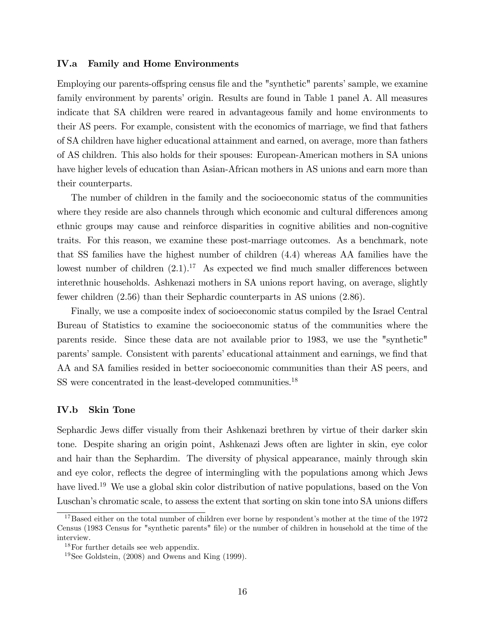#### IV.a Family and Home Environments

Employing our parents-offspring census file and the "synthetic" parents' sample, we examine family environment by parents' origin. Results are found in Table 1 panel A. All measures indicate that SA children were reared in advantageous family and home environments to their AS peers. For example, consistent with the economics of marriage, we find that fathers of SA children have higher educational attainment and earned, on average, more than fathers of AS children. This also holds for their spouses: European-American mothers in SA unions have higher levels of education than Asian-African mothers in AS unions and earn more than their counterparts.

The number of children in the family and the socioeconomic status of the communities where they reside are also channels through which economic and cultural differences among ethnic groups may cause and reinforce disparities in cognitive abilities and non-cognitive traits. For this reason, we examine these post-marriage outcomes. As a benchmark, note that SS families have the highest number of children (4.4) whereas AA families have the lowest number of children  $(2.1)^{17}$  As expected we find much smaller differences between interethnic households. Ashkenazi mothers in SA unions report having, on average, slightly fewer children (2.56) than their Sephardic counterparts in AS unions (2.86).

Finally, we use a composite index of socioeconomic status compiled by the Israel Central Bureau of Statistics to examine the socioeconomic status of the communities where the parents reside. Since these data are not available prior to 1983, we use the "synthetic" parents' sample. Consistent with parents' educational attainment and earnings, we find that AA and SA families resided in better socioeconomic communities than their AS peers, and SS were concentrated in the least-developed communities.<sup>18</sup>

#### IV.b Skin Tone

Sephardic Jews differ visually from their Ashkenazi brethren by virtue of their darker skin tone. Despite sharing an origin point, Ashkenazi Jews often are lighter in skin, eye color and hair than the Sephardim. The diversity of physical appearance, mainly through skin and eye color, reflects the degree of intermingling with the populations among which Jews have lived.<sup>19</sup> We use a global skin color distribution of native populations, based on the Von Luschan's chromatic scale, to assess the extent that sorting on skin tone into SA unions differs

<sup>&</sup>lt;sup>17</sup>Based either on the total number of children ever borne by respondent's mother at the time of the 1972 Census (1983 Census for "synthetic parents" Öle) or the number of children in household at the time of the interview.

<sup>18</sup>For further details see web appendix.

<sup>&</sup>lt;sup>19</sup>See Goldstein,  $(2008)$  and Owens and King  $(1999)$ .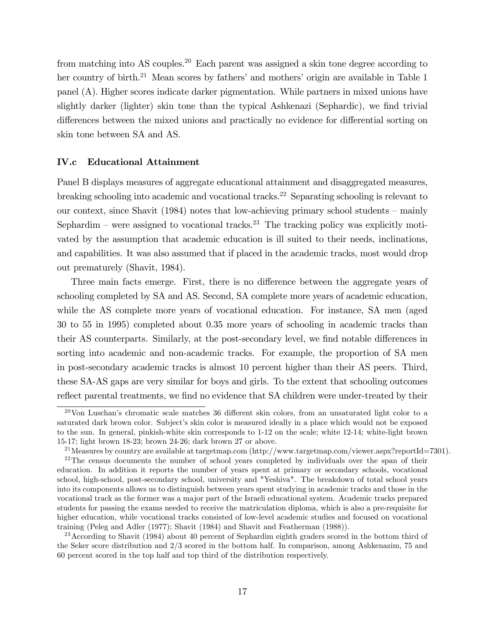from matching into AS couples.<sup>20</sup> Each parent was assigned a skin tone degree according to her country of birth.<sup>21</sup> Mean scores by fathers' and mothers' origin are available in Table 1 panel (A). Higher scores indicate darker pigmentation. While partners in mixed unions have slightly darker (lighter) skin tone than the typical Ashkenazi (Sephardic), we find trivial differences between the mixed unions and practically no evidence for differential sorting on skin tone between SA and AS.

#### IV.c Educational Attainment

Panel B displays measures of aggregate educational attainment and disaggregated measures, breaking schooling into academic and vocational tracks.<sup>22</sup> Separating schooling is relevant to our context, since Shavit (1984) notes that low-achieving primary school students  $-$  mainly Sephardim – were assigned to vocational tracks.<sup>23</sup> The tracking policy was explicitly motivated by the assumption that academic education is ill suited to their needs, inclinations, and capabilities. It was also assumed that if placed in the academic tracks, most would drop out prematurely (Shavit, 1984).

Three main facts emerge. First, there is no difference between the aggregate years of schooling completed by SA and AS. Second, SA complete more years of academic education, while the AS complete more years of vocational education. For instance, SA men (aged 30 to 55 in 1995) completed about 0.35 more years of schooling in academic tracks than their AS counterparts. Similarly, at the post-secondary level, we find notable differences in sorting into academic and non-academic tracks. For example, the proportion of SA men in post-secondary academic tracks is almost 10 percent higher than their AS peers. Third, these SA-AS gaps are very similar for boys and girls. To the extent that schooling outcomes reflect parental treatments, we find no evidence that SA children were under-treated by their

 $^{20}$ Von Luschan's chromatic scale matches 36 different skin colors, from an unsaturated light color to a saturated dark brown color. Subject's skin color is measured ideally in a place which would not be exposed to the sun. In general, pinkish-white skin corresponds to 1-12 on the scale; white 12-14; white-light brown 15-17; light brown 18-23; brown 24-26; dark brown 27 or above.

<sup>&</sup>lt;sup>21</sup> Measures by country are available at targetmap.com (http://www.targetmap.com/viewer.aspx?reportId=7301).

<sup>&</sup>lt;sup>22</sup>The census documents the number of school years completed by individuals over the span of their education. In addition it reports the number of years spent at primary or secondary schools, vocational school, high-school, post-secondary school, university and "Yeshiva". The breakdown of total school years into its components allows us to distinguish between years spent studying in academic tracks and those in the vocational track as the former was a major part of the Israeli educational system. Academic tracks prepared students for passing the exams needed to receive the matriculation diploma, which is also a pre-requisite for higher education, while vocational tracks consisted of low-level academic studies and focused on vocational training (Peleg and Adler (1977); Shavit (1984) and Shavit and Featherman (1988)).

<sup>&</sup>lt;sup>23</sup> According to Shavit (1984) about 40 percent of Sephardim eighth graders scored in the bottom third of the Seker score distribution and 2/3 scored in the bottom half. In comparison, among Ashkenazim, 75 and 60 percent scored in the top half and top third of the distribution respectively.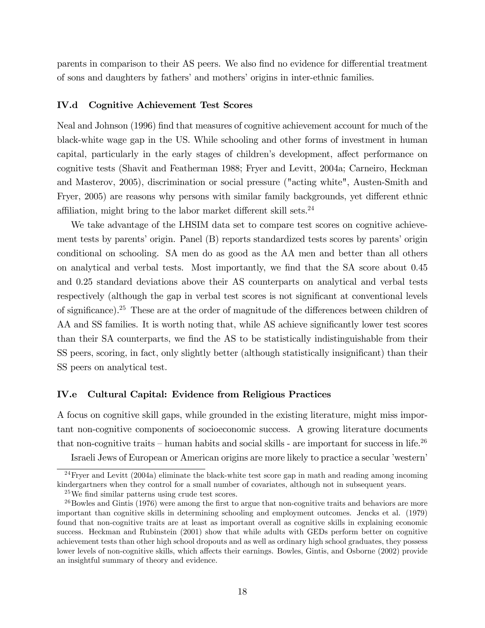parents in comparison to their AS peers. We also find no evidence for differential treatment of sons and daughters by fathers' and mothers' origins in inter-ethnic families.

#### IV.d Cognitive Achievement Test Scores

Neal and Johnson (1996) Önd that measures of cognitive achievement account for much of the black-white wage gap in the US. While schooling and other forms of investment in human capital, particularly in the early stages of children's development, affect performance on cognitive tests (Shavit and Featherman 1988; Fryer and Levitt, 2004a; Carneiro, Heckman and Masterov, 2005), discrimination or social pressure ("acting white", Austen-Smith and Fryer, 2005) are reasons why persons with similar family backgrounds, yet different ethnic affiliation, might bring to the labor market different skill sets. $24$ 

We take advantage of the LHSIM data set to compare test scores on cognitive achievement tests by parents' origin. Panel (B) reports standardized tests scores by parents' origin conditional on schooling. SA men do as good as the AA men and better than all others on analytical and verbal tests. Most importantly, we find that the SA score about 0.45 and 0.25 standard deviations above their AS counterparts on analytical and verbal tests respectively (although the gap in verbal test scores is not significant at conventional levels of significance).<sup>25</sup> These are at the order of magnitude of the differences between children of AA and SS families. It is worth noting that, while AS achieve significantly lower test scores than their SA counterparts, we Önd the AS to be statistically indistinguishable from their SS peers, scoring, in fact, only slightly better (although statistically insignificant) than their SS peers on analytical test.

#### IV.e Cultural Capital: Evidence from Religious Practices

A focus on cognitive skill gaps, while grounded in the existing literature, might miss important non-cognitive components of socioeconomic success. A growing literature documents that non-cognitive traits  $-$  human habits and social skills - are important for success in life.<sup>26</sup>

Israeli Jews of European or American origins are more likely to practice a secular 'western'

 $^{24}$ Fryer and Levitt (2004a) eliminate the black-white test score gap in math and reading among incoming kindergartners when they control for a small number of covariates, although not in subsequent years.

 $25$ We find similar patterns using crude test scores.

 $26$ Bowles and Gintis (1976) were among the first to argue that non-cognitive traits and behaviors are more important than cognitive skills in determining schooling and employment outcomes. Jencks et al. (1979) found that non-cognitive traits are at least as important overall as cognitive skills in explaining economic success. Heckman and Rubinstein (2001) show that while adults with GEDs perform better on cognitive achievement tests than other high school dropouts and as well as ordinary high school graduates, they possess lower levels of non-cognitive skills, which affects their earnings. Bowles, Gintis, and Osborne (2002) provide an insightful summary of theory and evidence.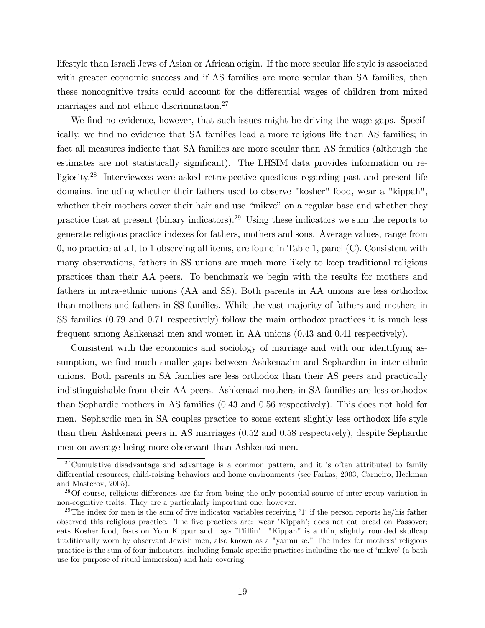lifestyle than Israeli Jews of Asian or African origin. If the more secular life style is associated with greater economic success and if AS families are more secular than SA families, then these noncognitive traits could account for the differential wages of children from mixed marriages and not ethnic discrimination.<sup>27</sup>

We find no evidence, however, that such issues might be driving the wage gaps. Specifically, we find no evidence that SA families lead a more religious life than AS families; in fact all measures indicate that SA families are more secular than AS families (although the estimates are not statistically significant). The LHSIM data provides information on religiosity.<sup>28</sup> Interviewees were asked retrospective questions regarding past and present life domains, including whether their fathers used to observe "kosher" food, wear a "kippah", whether their mothers cover their hair and use "mikve" on a regular base and whether they practice that at present (binary indicators).<sup>29</sup> Using these indicators we sum the reports to generate religious practice indexes for fathers, mothers and sons. Average values, range from 0, no practice at all, to 1 observing all items, are found in Table 1, panel (C). Consistent with many observations, fathers in SS unions are much more likely to keep traditional religious practices than their AA peers. To benchmark we begin with the results for mothers and fathers in intra-ethnic unions (AA and SS). Both parents in AA unions are less orthodox than mothers and fathers in SS families. While the vast majority of fathers and mothers in SS families (0.79 and 0.71 respectively) follow the main orthodox practices it is much less frequent among Ashkenazi men and women in AA unions (0.43 and 0.41 respectively).

Consistent with the economics and sociology of marriage and with our identifying assumption, we find much smaller gaps between Ashkenazim and Sephardim in inter-ethnic unions. Both parents in SA families are less orthodox than their AS peers and practically indistinguishable from their AA peers. Ashkenazi mothers in SA families are less orthodox than Sephardic mothers in AS families (0.43 and 0.56 respectively). This does not hold for men. Sephardic men in SA couples practice to some extent slightly less orthodox life style than their Ashkenazi peers in AS marriages (0.52 and 0.58 respectively), despite Sephardic men on average being more observant than Ashkenazi men.

 $27$ Cumulative disadvantage and advantage is a common pattern, and it is often attributed to family differential resources, child-raising behaviors and home environments (see Farkas, 2003; Carneiro, Heckman and Masterov, 2005).

 $^{28}$ Of course, religious differences are far from being the only potential source of inter-group variation in non-cognitive traits. They are a particularly important one, however.

<sup>&</sup>lt;sup>29</sup>The index for men is the sum of five indicator variables receiving  $1'$  if the person reports he/his father observed this religious practice. The five practices are: wear 'Kippah'; does not eat bread on Passover; eats Kosher food, fasts on Yom Kippur and Lays 'Tfillin'. "Kippah" is a thin, slightly rounded skullcap traditionally worn by observant Jewish men, also known as a "yarmulke." The index for mothers' religious practice is the sum of four indicators, including female-specific practices including the use of 'mikve' (a bath use for purpose of ritual immersion) and hair covering.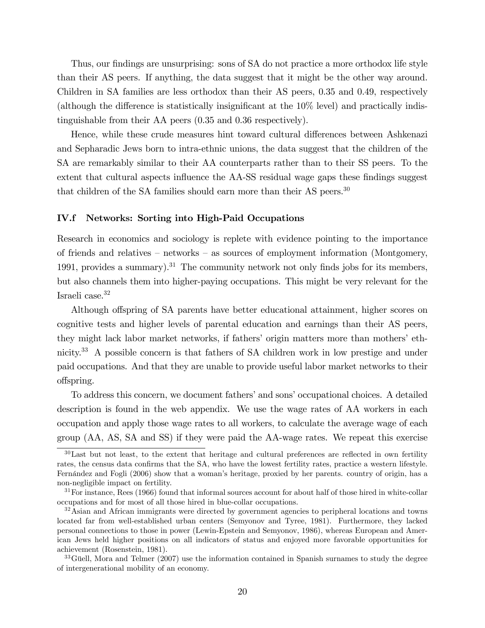Thus, our findings are unsurprising: sons of SA do not practice a more orthodox life style than their AS peers. If anything, the data suggest that it might be the other way around. Children in SA families are less orthodox than their AS peers, 0.35 and 0.49, respectively (although the difference is statistically insignificant at the  $10\%$  level) and practically indistinguishable from their AA peers (0.35 and 0.36 respectively).

Hence, while these crude measures hint toward cultural differences between Ashkenazi and Sepharadic Jews born to intra-ethnic unions, the data suggest that the children of the SA are remarkably similar to their AA counterparts rather than to their SS peers. To the extent that cultural aspects influence the AA-SS residual wage gaps these findings suggest that children of the SA families should earn more than their AS peers.<sup>30</sup>

#### IV.f Networks: Sorting into High-Paid Occupations

Research in economics and sociology is replete with evidence pointing to the importance of friends and relatives – networks – as sources of employment information (Montgomery, 1991, provides a summary).<sup>31</sup> The community network not only finds jobs for its members, but also channels them into higher-paying occupations. This might be very relevant for the Israeli case.<sup>32</sup>

Although offspring of SA parents have better educational attainment, higher scores on cognitive tests and higher levels of parental education and earnings than their AS peers, they might lack labor market networks, if fathers' origin matters more than mothers' ethnicity.<sup>33</sup> A possible concern is that fathers of SA children work in low prestige and under paid occupations. And that they are unable to provide useful labor market networks to their offspring.

To address this concern, we document fathers' and sons' occupational choices. A detailed description is found in the web appendix. We use the wage rates of AA workers in each occupation and apply those wage rates to all workers, to calculate the average wage of each group (AA, AS, SA and SS) if they were paid the AA-wage rates. We repeat this exercise

 $30$ Last but not least, to the extent that heritage and cultural preferences are reflected in own fertility rates, the census data confirms that the SA, who have the lowest fertility rates, practice a western lifestyle. Fernández and Fogli (2006) show that a woman's heritage, proxied by her parents. country of origin, has a non-negligible impact on fertility.

 $31$  For instance, Rees (1966) found that informal sources account for about half of those hired in white-collar occupations and for most of all those hired in blue-collar occupations.

<sup>&</sup>lt;sup>32</sup>Asian and African immigrants were directed by government agencies to peripheral locations and towns located far from well-established urban centers (Semyonov and Tyree, 1981). Furthermore, they lacked personal connections to those in power (Lewin-Epstein and Semyonov, 1986), whereas European and American Jews held higher positions on all indicators of status and enjoyed more favorable opportunities for achievement (Rosenstein, 1981).

 $33\,\text{G}$  uell, Mora and Telmer (2007) use the information contained in Spanish surnames to study the degree of intergenerational mobility of an economy.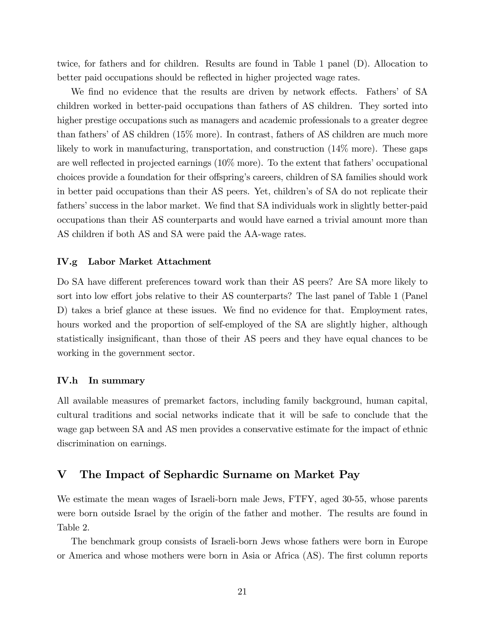twice, for fathers and for children. Results are found in Table 1 panel (D). Allocation to better paid occupations should be reflected in higher projected wage rates.

We find no evidence that the results are driven by network effects. Fathers' of SA children worked in better-paid occupations than fathers of AS children. They sorted into higher prestige occupations such as managers and academic professionals to a greater degree than fathers' of AS children  $(15\%$  more). In contrast, fathers of AS children are much more likely to work in manufacturing, transportation, and construction (14\%) more). These gaps are well reflected in projected earnings  $(10\% \text{ more})$ . To the extent that fathers' occupational choices provide a foundation for their offspring's careers, children of SA families should work in better paid occupations than their AS peers. Yet, children's of SA do not replicate their fathers' success in the labor market. We find that SA individuals work in slightly better-paid occupations than their AS counterparts and would have earned a trivial amount more than AS children if both AS and SA were paid the AA-wage rates.

#### IV.g Labor Market Attachment

Do SA have different preferences toward work than their AS peers? Are SA more likely to sort into low effort jobs relative to their AS counterparts? The last panel of Table 1 (Panel D) takes a brief glance at these issues. We find no evidence for that. Employment rates, hours worked and the proportion of self-employed of the SA are slightly higher, although statistically insignificant, than those of their AS peers and they have equal chances to be working in the government sector.

#### IV.h In summary

All available measures of premarket factors, including family background, human capital, cultural traditions and social networks indicate that it will be safe to conclude that the wage gap between SA and AS men provides a conservative estimate for the impact of ethnic discrimination on earnings.

# V The Impact of Sephardic Surname on Market Pay

We estimate the mean wages of Israeli-born male Jews, FTFY, aged 30-55, whose parents were born outside Israel by the origin of the father and mother. The results are found in Table 2.

The benchmark group consists of Israeli-born Jews whose fathers were born in Europe or America and whose mothers were born in Asia or Africa (AS). The first column reports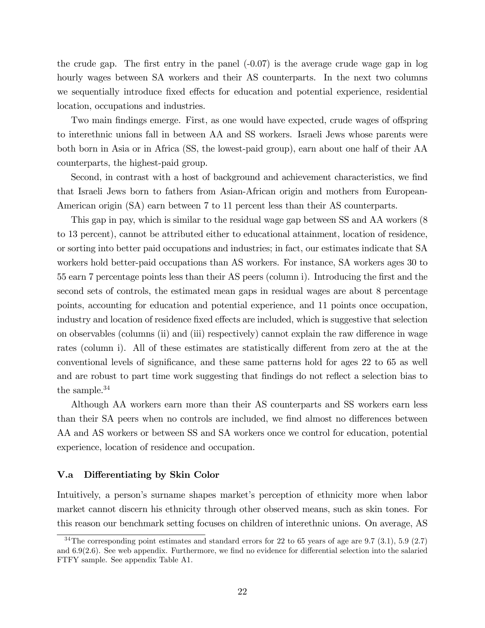the crude gap. The first entry in the panel  $(-0.07)$  is the average crude wage gap in log hourly wages between SA workers and their AS counterparts. In the next two columns we sequentially introduce fixed effects for education and potential experience, residential location, occupations and industries.

Two main findings emerge. First, as one would have expected, crude wages of offspring to interethnic unions fall in between AA and SS workers. Israeli Jews whose parents were both born in Asia or in Africa (SS, the lowest-paid group), earn about one half of their AA counterparts, the highest-paid group.

Second, in contrast with a host of background and achievement characteristics, we find that Israeli Jews born to fathers from Asian-African origin and mothers from European-American origin (SA) earn between 7 to 11 percent less than their AS counterparts.

This gap in pay, which is similar to the residual wage gap between SS and AA workers (8 to 13 percent), cannot be attributed either to educational attainment, location of residence, or sorting into better paid occupations and industries; in fact, our estimates indicate that SA workers hold better-paid occupations than AS workers. For instance, SA workers ages 30 to 55 earn 7 percentage points less than their AS peers (column i). Introducing the first and the second sets of controls, the estimated mean gaps in residual wages are about 8 percentage points, accounting for education and potential experience, and 11 points once occupation, industry and location of residence fixed effects are included, which is suggestive that selection on observables (columns (ii) and (iii) respectively) cannot explain the raw difference in wage rates (column i). All of these estimates are statistically different from zero at the at the conventional levels of significance, and these same patterns hold for ages 22 to 65 as well and are robust to part time work suggesting that findings do not reflect a selection bias to the sample.<sup>34</sup>

Although AA workers earn more than their AS counterparts and SS workers earn less than their SA peers when no controls are included, we find almost no differences between AA and AS workers or between SS and SA workers once we control for education, potential experience, location of residence and occupation.

#### V.a Differentiating by Skin Color

Intuitively, a person's surname shapes market's perception of ethnicity more when labor market cannot discern his ethnicity through other observed means, such as skin tones. For this reason our benchmark setting focuses on children of interethnic unions. On average, AS

 $34$ The corresponding point estimates and standard errors for 22 to 65 years of age are 9.7 (3.1), 5.9 (2.7) and  $6.9(2.6)$ . See web appendix. Furthermore, we find no evidence for differential selection into the salaried FTFY sample. See appendix Table A1.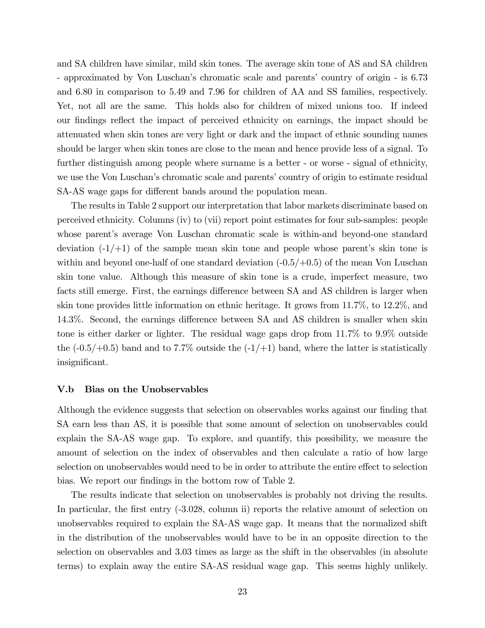and SA children have similar, mild skin tones. The average skin tone of AS and SA children - approximated by Von Luschan's chromatic scale and parents' country of origin - is 6.73 and 6.80 in comparison to 5.49 and 7.96 for children of AA and SS families, respectively. Yet, not all are the same. This holds also for children of mixed unions too. If indeed our findings reflect the impact of perceived ethnicity on earnings, the impact should be attenuated when skin tones are very light or dark and the impact of ethnic sounding names should be larger when skin tones are close to the mean and hence provide less of a signal. To further distinguish among people where surname is a better - or worse - signal of ethnicity, we use the Von Luschan's chromatic scale and parents' country of origin to estimate residual SA-AS wage gaps for different bands around the population mean.

The results in Table 2 support our interpretation that labor markets discriminate based on perceived ethnicity. Columns (iv) to (vii) report point estimates for four sub-samples: people whose parent's average Von Luschan chromatic scale is within-and beyond-one standard deviation  $(-1/+1)$  of the sample mean skin tone and people whose parent's skin tone is within and beyond one-half of one standard deviation  $(-0.5/+0.5)$  of the mean Von Luschan skin tone value. Although this measure of skin tone is a crude, imperfect measure, two facts still emerge. First, the earnings difference between SA and AS children is larger when skin tone provides little information on ethnic heritage. It grows from 11.7%, to 12.2%, and 14.3%. Second, the earnings difference between SA and AS children is smaller when skin tone is either darker or lighter. The residual wage gaps drop from 11.7% to 9.9% outside the  $(-0.5/+0.5)$  band and to 7.7% outside the  $(-1/+1)$  band, where the latter is statistically insignificant.

#### V.b Bias on the Unobservables

Although the evidence suggests that selection on observables works against our finding that SA earn less than AS, it is possible that some amount of selection on unobservables could explain the SA-AS wage gap. To explore, and quantify, this possibility, we measure the amount of selection on the index of observables and then calculate a ratio of how large selection on unobservables would need to be in order to attribute the entire effect to selection bias. We report our findings in the bottom row of Table 2.

The results indicate that selection on unobservables is probably not driving the results. In particular, the first entry  $(-3.028, \text{column ii})$  reports the relative amount of selection on unobservables required to explain the SA-AS wage gap. It means that the normalized shift in the distribution of the unobservables would have to be in an opposite direction to the selection on observables and 3.03 times as large as the shift in the observables (in absolute terms) to explain away the entire SA-AS residual wage gap. This seems highly unlikely.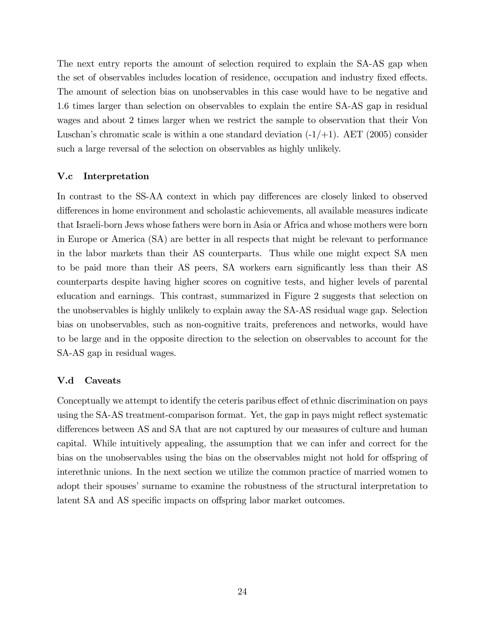The next entry reports the amount of selection required to explain the SA-AS gap when the set of observables includes location of residence, occupation and industry fixed effects. The amount of selection bias on unobservables in this case would have to be negative and 1.6 times larger than selection on observables to explain the entire SA-AS gap in residual wages and about 2 times larger when we restrict the sample to observation that their Von Luschan's chromatic scale is within a one standard deviation  $(-1/+1)$ . AET (2005) consider such a large reversal of the selection on observables as highly unlikely.

#### V.c Interpretation

In contrast to the SS-AA context in which pay differences are closely linked to observed differences in home environment and scholastic achievements, all available measures indicate that Israeli-born Jews whose fathers were born in Asia or Africa and whose mothers were born in Europe or America (SA) are better in all respects that might be relevant to performance in the labor markets than their AS counterparts. Thus while one might expect SA men to be paid more than their AS peers, SA workers earn significantly less than their AS counterparts despite having higher scores on cognitive tests, and higher levels of parental education and earnings. This contrast, summarized in Figure 2 suggests that selection on the unobservables is highly unlikely to explain away the SA-AS residual wage gap. Selection bias on unobservables, such as non-cognitive traits, preferences and networks, would have to be large and in the opposite direction to the selection on observables to account for the SA-AS gap in residual wages.

#### V.d Caveats

Conceptually we attempt to identify the ceteris paribus effect of ethnic discrimination on pays using the SA-AS treatment-comparison format. Yet, the gap in pays might reflect systematic differences between AS and SA that are not captured by our measures of culture and human capital. While intuitively appealing, the assumption that we can infer and correct for the bias on the unobservables using the bias on the observables might not hold for offspring of interethnic unions. In the next section we utilize the common practice of married women to adopt their spouses' surname to examine the robustness of the structural interpretation to latent SA and AS specific impacts on offspring labor market outcomes.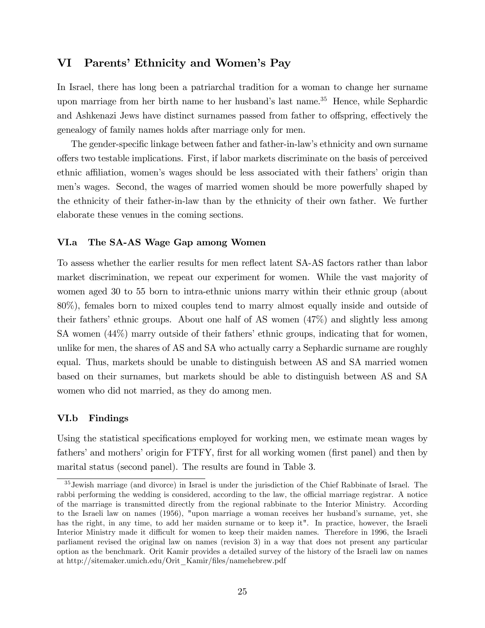### VI Parents' Ethnicity and Women's Pay

In Israel, there has long been a patriarchal tradition for a woman to change her surname upon marriage from her birth name to her husband's last name.<sup>35</sup> Hence, while Sephardic and Ashkenazi Jews have distinct surnames passed from father to offspring, effectively the genealogy of family names holds after marriage only for men.

The gender-specific linkage between father and father-in-law's ethnicity and own surname o§ers two testable implications. First, if labor markets discriminate on the basis of perceived ethnic affiliation, women's wages should be less associated with their fathers' origin than menís wages. Second, the wages of married women should be more powerfully shaped by the ethnicity of their father-in-law than by the ethnicity of their own father. We further elaborate these venues in the coming sections.

#### VI.a The SA-AS Wage Gap among Women

To assess whether the earlier results for men reflect latent SA-AS factors rather than labor market discrimination, we repeat our experiment for women. While the vast majority of women aged 30 to 55 born to intra-ethnic unions marry within their ethnic group (about 80%), females born to mixed couples tend to marry almost equally inside and outside of their fathersí ethnic groups. About one half of AS women (47%) and slightly less among SA women  $(44\%)$  marry outside of their fathers' ethnic groups, indicating that for women, unlike for men, the shares of AS and SA who actually carry a Sephardic surname are roughly equal. Thus, markets should be unable to distinguish between AS and SA married women based on their surnames, but markets should be able to distinguish between AS and SA women who did not married, as they do among men.

#### VI.b Findings

Using the statistical specifications employed for working men, we estimate mean wages by fathers' and mothers' origin for FTFY, first for all working women (first panel) and then by marital status (second panel). The results are found in Table 3.

<sup>35</sup>Jewish marriage (and divorce) in Israel is under the jurisdiction of the Chief Rabbinate of Israel. The rabbi performing the wedding is considered, according to the law, the official marriage registrar. A notice of the marriage is transmitted directly from the regional rabbinate to the Interior Ministry. According to the Israeli law on names (1956), "upon marriage a woman receives her husband's surname, yet, she has the right, in any time, to add her maiden surname or to keep it". In practice, however, the Israeli Interior Ministry made it difficult for women to keep their maiden names. Therefore in 1996, the Israeli parliament revised the original law on names (revision 3) in a way that does not present any particular option as the benchmark. Orit Kamir provides a detailed survey of the history of the Israeli law on names at http://sitemaker.umich.edu/Orit\_Kamir/Öles/namehebrew.pdf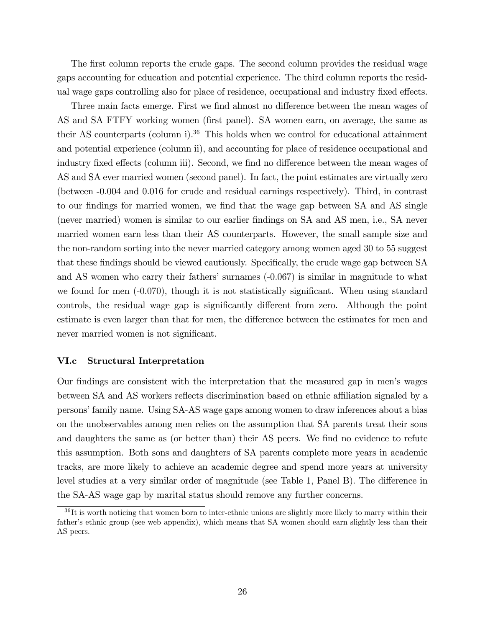The first column reports the crude gaps. The second column provides the residual wage gaps accounting for education and potential experience. The third column reports the residual wage gaps controlling also for place of residence, occupational and industry fixed effects.

Three main facts emerge. First we find almost no difference between the mean wages of AS and SA FTFY working women (first panel). SA women earn, on average, the same as their AS counterparts (column i).<sup>36</sup> This holds when we control for educational attainment and potential experience (column ii), and accounting for place of residence occupational and industry fixed effects (column iii). Second, we find no difference between the mean wages of AS and SA ever married women (second panel). In fact, the point estimates are virtually zero (between -0.004 and 0.016 for crude and residual earnings respectively). Third, in contrast to our findings for married women, we find that the wage gap between SA and AS single (never married) women is similar to our earlier Öndings on SA and AS men, i.e., SA never married women earn less than their AS counterparts. However, the small sample size and the non-random sorting into the never married category among women aged 30 to 55 suggest that these findings should be viewed cautiously. Specifically, the crude wage gap between SA and AS women who carry their fathers' surnames  $(-0.067)$  is similar in magnitude to what we found for men  $(-0.070)$ , though it is not statistically significant. When using standard controls, the residual wage gap is significantly different from zero. Although the point estimate is even larger than that for men, the difference between the estimates for men and never married women is not significant.

#### VI.c Structural Interpretation

Our Öndings are consistent with the interpretation that the measured gap in menís wages between SA and AS workers reflects discrimination based on ethnic affiliation signaled by a personsífamily name. Using SA-AS wage gaps among women to draw inferences about a bias on the unobservables among men relies on the assumption that SA parents treat their sons and daughters the same as (or better than) their AS peers. We find no evidence to refute this assumption. Both sons and daughters of SA parents complete more years in academic tracks, are more likely to achieve an academic degree and spend more years at university level studies at a very similar order of magnitude (see Table 1, Panel B). The difference in the SA-AS wage gap by marital status should remove any further concerns.

 $36$  It is worth noticing that women born to inter-ethnic unions are slightly more likely to marry within their father's ethnic group (see web appendix), which means that SA women should earn slightly less than their AS peers.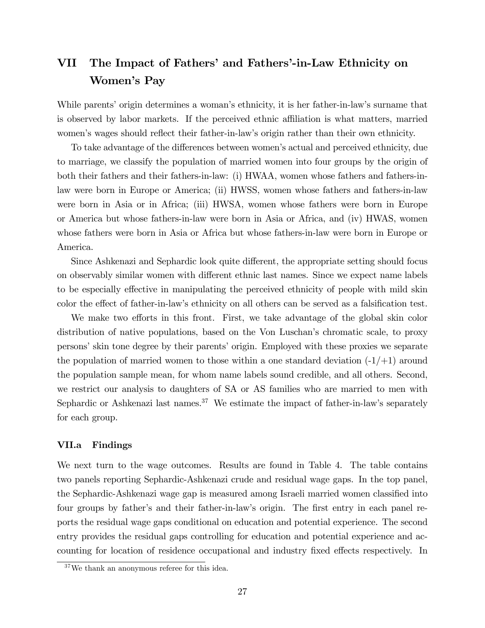# VII The Impact of Fathers' and Fathers'-in-Law Ethnicity on Womenís Pay

While parents' origin determines a woman's ethnicity, it is her father-in-law's surname that is observed by labor markets. If the perceived ethnic affiliation is what matters, married women's wages should reflect their father-in-law's origin rather than their own ethnicity.

To take advantage of the differences between women's actual and perceived ethnicity, due to marriage, we classify the population of married women into four groups by the origin of both their fathers and their fathers-in-law: (i) HWAA, women whose fathers and fathers-inlaw were born in Europe or America; (ii) HWSS, women whose fathers and fathers-in-law were born in Asia or in Africa; (iii) HWSA, women whose fathers were born in Europe or America but whose fathers-in-law were born in Asia or Africa, and (iv) HWAS, women whose fathers were born in Asia or Africa but whose fathers-in-law were born in Europe or America.

Since Ashkenazi and Sephardic look quite different, the appropriate setting should focus on observably similar women with different ethnic last names. Since we expect name labels to be especially effective in manipulating the perceived ethnicity of people with mild skin color the effect of father-in-law's ethnicity on all others can be served as a falsification test.

We make two efforts in this front. First, we take advantage of the global skin color distribution of native populations, based on the Von Luschan's chromatic scale, to proxy personsískin tone degree by their parentsíorigin. Employed with these proxies we separate the population of married women to those within a one standard deviation  $(-1/+1)$  around the population sample mean, for whom name labels sound credible, and all others. Second, we restrict our analysis to daughters of SA or AS families who are married to men with Sephardic or Ashkenazi last names.<sup>37</sup> We estimate the impact of father-in-law's separately for each group.

#### VII.a Findings

We next turn to the wage outcomes. Results are found in Table 4. The table contains two panels reporting Sephardic-Ashkenazi crude and residual wage gaps. In the top panel, the Sephardic-Ashkenazi wage gap is measured among Israeli married women classified into four groups by father's and their father-in-law's origin. The first entry in each panel reports the residual wage gaps conditional on education and potential experience. The second entry provides the residual gaps controlling for education and potential experience and accounting for location of residence occupational and industry fixed effects respectively. In

<sup>37</sup>We thank an anonymous referee for this idea.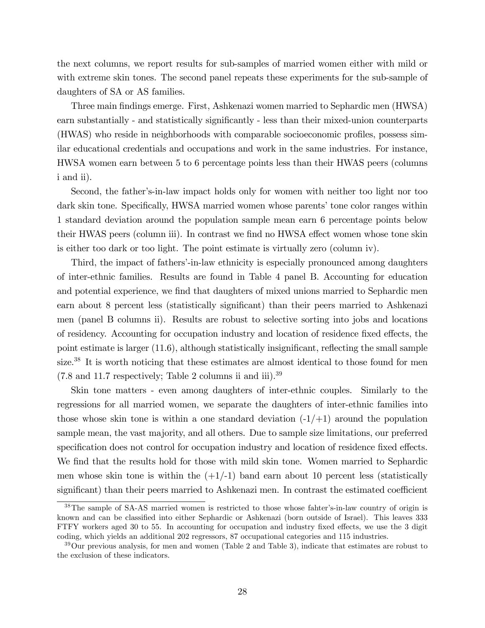the next columns, we report results for sub-samples of married women either with mild or with extreme skin tones. The second panel repeats these experiments for the sub-sample of daughters of SA or AS families.

Three main Öndings emerge. First, Ashkenazi women married to Sephardic men (HWSA) earn substantially - and statistically significantly - less than their mixed-union counterparts (HWAS) who reside in neighborhoods with comparable socioeconomic profiles, possess similar educational credentials and occupations and work in the same industries. For instance, HWSA women earn between 5 to 6 percentage points less than their HWAS peers (columns i and ii).

Second, the father's-in-law impact holds only for women with neither too light nor too dark skin tone. Specifically, HWSA married women whose parents' tone color ranges within 1 standard deviation around the population sample mean earn 6 percentage points below their HWAS peers (column iii). In contrast we find no HWSA effect women whose tone skin is either too dark or too light. The point estimate is virtually zero (column iv).

Third, the impact of fathers'-in-law ethnicity is especially pronounced among daughters of inter-ethnic families. Results are found in Table 4 panel B. Accounting for education and potential experience, we find that daughters of mixed unions married to Sephardic men earn about 8 percent less (statistically significant) than their peers married to Ashkenazi men (panel B columns ii). Results are robust to selective sorting into jobs and locations of residency. Accounting for occupation industry and location of residence fixed effects, the point estimate is larger  $(11.6)$ , although statistically insignificant, reflecting the small sample size.<sup>38</sup> It is worth noticing that these estimates are almost identical to those found for men  $(7.8 \text{ and } 11.7 \text{ respectively};$  Table 2 columns ii and iii).<sup>39</sup>

Skin tone matters - even among daughters of inter-ethnic couples. Similarly to the regressions for all married women, we separate the daughters of inter-ethnic families into those whose skin tone is within a one standard deviation  $(-1/+1)$  around the population sample mean, the vast majority, and all others. Due to sample size limitations, our preferred specification does not control for occupation industry and location of residence fixed effects. We find that the results hold for those with mild skin tone. Women married to Sephardic men whose skin tone is within the  $(+1/-1)$  band earn about 10 percent less (statistically significant) than their peers married to Ashkenazi men. In contrast the estimated coefficient

 $38$ The sample of SA-AS married women is restricted to those whose fahter's-in-law country of origin is known and can be classified into either Sephardic or Ashkenazi (born outside of Israel). This leaves 333 FTFY workers aged 30 to 55. In accounting for occupation and industry fixed effects, we use the 3 digit coding, which yields an additional 202 regressors, 87 occupational categories and 115 industries.

 $39$ Our previous analysis, for men and women (Table 2 and Table 3), indicate that estimates are robust to the exclusion of these indicators.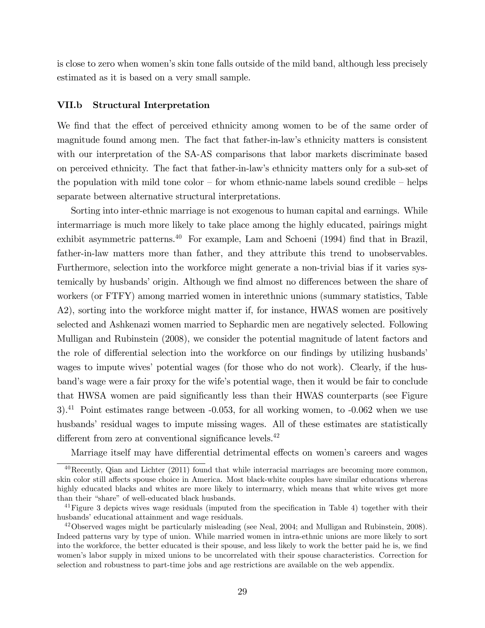is close to zero when women's skin tone falls outside of the mild band, although less precisely estimated as it is based on a very small sample.

#### VII.b Structural Interpretation

We find that the effect of perceived ethnicity among women to be of the same order of magnitude found among men. The fact that father-in-lawís ethnicity matters is consistent with our interpretation of the SA-AS comparisons that labor markets discriminate based on perceived ethnicity. The fact that father-in-lawís ethnicity matters only for a sub-set of the population with mild tone color  $-$  for whom ethnic-name labels sound credible  $-$  helps separate between alternative structural interpretations.

Sorting into inter-ethnic marriage is not exogenous to human capital and earnings. While intermarriage is much more likely to take place among the highly educated, pairings might exhibit asymmetric patterns.<sup>40</sup> For example, Lam and Schoeni  $(1994)$  find that in Brazil, father-in-law matters more than father, and they attribute this trend to unobservables. Furthermore, selection into the workforce might generate a non-trivial bias if it varies systemically by husbands' origin. Although we find almost no differences between the share of workers (or FTFY) among married women in interethnic unions (summary statistics, Table A2), sorting into the workforce might matter if, for instance, HWAS women are positively selected and Ashkenazi women married to Sephardic men are negatively selected. Following Mulligan and Rubinstein (2008), we consider the potential magnitude of latent factors and the role of differential selection into the workforce on our findings by utilizing husbands wages to impute wives' potential wages (for those who do not work). Clearly, if the husband's wage were a fair proxy for the wife's potential wage, then it would be fair to conclude that HWSA women are paid significantly less than their HWAS counterparts (see Figure  $3$ <sup>1</sup>.<sup>41</sup> Point estimates range between  $-0.053$ , for all working women, to  $-0.062$  when we use husbands' residual wages to impute missing wages. All of these estimates are statistically different from zero at conventional significance levels. $^{42}$ 

Marriage itself may have differential detrimental effects on women's careers and wages

<sup>40</sup>Recently, Qian and Lichter (2011) found that while interracial marriages are becoming more common, skin color still affects spouse choice in America. Most black-white couples have similar educations whereas highly educated blacks and whites are more likely to intermarry, which means that white wives get more than their "share" of well-educated black husbands.

<sup>&</sup>lt;sup>41</sup> Figure 3 depicts wives wage residuals (imputed from the specification in Table 4) together with their husbands' educational attainment and wage residuals.

<sup>&</sup>lt;sup>42</sup>Observed wages might be particularly misleading (see Neal, 2004; and Mulligan and Rubinstein, 2008). Indeed patterns vary by type of union. While married women in intra-ethnic unions are more likely to sort into the workforce, the better educated is their spouse, and less likely to work the better paid he is, we find women's labor supply in mixed unions to be uncorrelated with their spouse characteristics. Correction for selection and robustness to part-time jobs and age restrictions are available on the web appendix.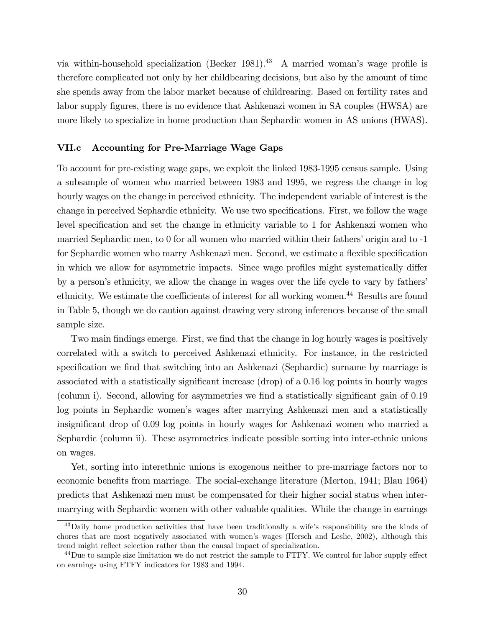via within-household specialization (Becker 1981).<sup>43</sup> A married woman's wage profile is therefore complicated not only by her childbearing decisions, but also by the amount of time she spends away from the labor market because of childrearing. Based on fertility rates and labor supply figures, there is no evidence that Ashkenazi women in SA couples (HWSA) are more likely to specialize in home production than Sephardic women in AS unions (HWAS).

#### VII.c Accounting for Pre-Marriage Wage Gaps

To account for pre-existing wage gaps, we exploit the linked 1983-1995 census sample. Using a subsample of women who married between 1983 and 1995, we regress the change in log hourly wages on the change in perceived ethnicity. The independent variable of interest is the change in perceived Sephardic ethnicity. We use two specifications. First, we follow the wage level specification and set the change in ethnicity variable to 1 for Ashkenazi women who married Sephardic men, to 0 for all women who married within their fathers' origin and to -1 for Sephardic women who marry Ashkenazi men. Second, we estimate a flexible specification in which we allow for asymmetric impacts. Since wage profiles might systematically differ by a person's ethnicity, we allow the change in wages over the life cycle to vary by fathers' ethnicity. We estimate the coefficients of interest for all working women.<sup>44</sup> Results are found in Table 5, though we do caution against drawing very strong inferences because of the small sample size.

Two main findings emerge. First, we find that the change in log hourly wages is positively correlated with a switch to perceived Ashkenazi ethnicity. For instance, in the restricted specification we find that switching into an Ashkenazi (Sephardic) surname by marriage is associated with a statistically significant increase (drop) of a  $0.16$  log points in hourly wages (column i). Second, allowing for asymmetries we find a statistically significant gain of  $0.19$ log points in Sephardic womenís wages after marrying Ashkenazi men and a statistically insignificant drop of 0.09 log points in hourly wages for Ashkenazi women who married a Sephardic (column ii). These asymmetries indicate possible sorting into inter-ethnic unions on wages.

Yet, sorting into interethnic unions is exogenous neither to pre-marriage factors nor to economic benefits from marriage. The social-exchange literature (Merton, 1941; Blau 1964) predicts that Ashkenazi men must be compensated for their higher social status when intermarrying with Sephardic women with other valuable qualities. While the change in earnings

<sup>&</sup>lt;sup>43</sup>Daily home production activities that have been traditionally a wife's responsibility are the kinds of chores that are most negatively associated with women's wages (Hersch and Leslie, 2002), although this trend might reflect selection rather than the causal impact of specialization.

 $^{44}$ Due to sample size limitation we do not restrict the sample to FTFY. We control for labor supply effect on earnings using FTFY indicators for 1983 and 1994.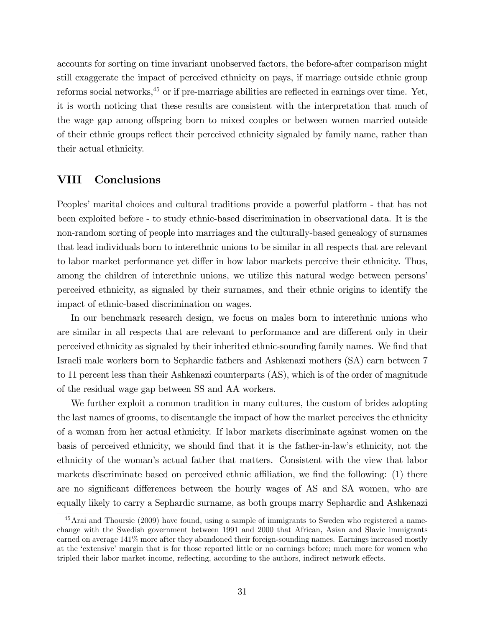accounts for sorting on time invariant unobserved factors, the before-after comparison might still exaggerate the impact of perceived ethnicity on pays, if marriage outside ethnic group reforms social networks,  $45$  or if pre-marriage abilities are reflected in earnings over time. Yet, it is worth noticing that these results are consistent with the interpretation that much of the wage gap among offspring born to mixed couples or between women married outside of their ethnic groups reflect their perceived ethnicity signaled by family name, rather than their actual ethnicity.

# VIII Conclusions

Peoples' marital choices and cultural traditions provide a powerful platform - that has not been exploited before - to study ethnic-based discrimination in observational data. It is the non-random sorting of people into marriages and the culturally-based genealogy of surnames that lead individuals born to interethnic unions to be similar in all respects that are relevant to labor market performance yet differ in how labor markets perceive their ethnicity. Thus, among the children of interethnic unions, we utilize this natural wedge between persons' perceived ethnicity, as signaled by their surnames, and their ethnic origins to identify the impact of ethnic-based discrimination on wages.

In our benchmark research design, we focus on males born to interethnic unions who are similar in all respects that are relevant to performance and are different only in their perceived ethnicity as signaled by their inherited ethnic-sounding family names. We find that Israeli male workers born to Sephardic fathers and Ashkenazi mothers (SA) earn between 7 to 11 percent less than their Ashkenazi counterparts (AS), which is of the order of magnitude of the residual wage gap between SS and AA workers.

We further exploit a common tradition in many cultures, the custom of brides adopting the last names of grooms, to disentangle the impact of how the market perceives the ethnicity of a woman from her actual ethnicity. If labor markets discriminate against women on the basis of perceived ethnicity, we should Önd that it is the father-in-lawís ethnicity, not the ethnicity of the womanís actual father that matters. Consistent with the view that labor markets discriminate based on perceived ethnic affiliation, we find the following:  $(1)$  there are no significant differences between the hourly wages of AS and SA women, who are equally likely to carry a Sephardic surname, as both groups marry Sephardic and Ashkenazi

<sup>45</sup>Arai and Thoursie (2009) have found, using a sample of immigrants to Sweden who registered a namechange with the Swedish government between 1991 and 2000 that African, Asian and Slavic immigrants earned on average 141% more after they abandoned their foreign-sounding names. Earnings increased mostly at the 'extensive' margin that is for those reported little or no earnings before; much more for women who tripled their labor market income, reflecting, according to the authors, indirect network effects.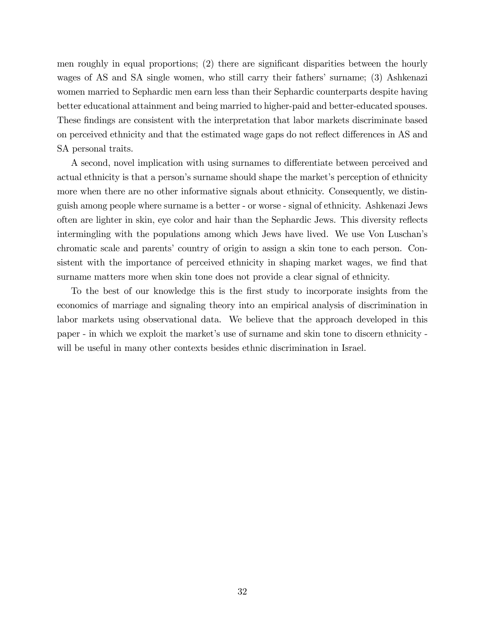men roughly in equal proportions;  $(2)$  there are significant disparities between the hourly wages of AS and SA single women, who still carry their fathers' surname; (3) Ashkenazi women married to Sephardic men earn less than their Sephardic counterparts despite having better educational attainment and being married to higher-paid and better-educated spouses. These findings are consistent with the interpretation that labor markets discriminate based on perceived ethnicity and that the estimated wage gaps do not reflect differences in AS and SA personal traits.

A second, novel implication with using surnames to differentiate between perceived and actual ethnicity is that a person's surname should shape the market's perception of ethnicity more when there are no other informative signals about ethnicity. Consequently, we distinguish among people where surname is a better - or worse - signal of ethnicity. Ashkenazi Jews often are lighter in skin, eye color and hair than the Sephardic Jews. This diversity reflects intermingling with the populations among which Jews have lived. We use Von Luschanís chromatic scale and parents' country of origin to assign a skin tone to each person. Consistent with the importance of perceived ethnicity in shaping market wages, we find that surname matters more when skin tone does not provide a clear signal of ethnicity.

To the best of our knowledge this is the first study to incorporate insights from the economics of marriage and signaling theory into an empirical analysis of discrimination in labor markets using observational data. We believe that the approach developed in this paper - in which we exploit the marketís use of surname and skin tone to discern ethnicity will be useful in many other contexts besides ethnic discrimination in Israel.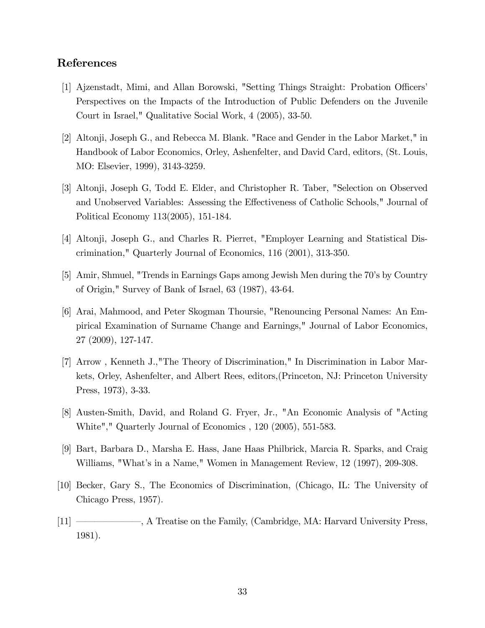# References

- [1] Ajzenstadt, Mimi, and Allan Borowski, "Setting Things Straight: Probation Officers' Perspectives on the Impacts of the Introduction of Public Defenders on the Juvenile Court in Israel," Qualitative Social Work, 4 (2005), 33-50.
- [2] Altonji, Joseph G., and Rebecca M. Blank. "Race and Gender in the Labor Market," in Handbook of Labor Economics, Orley, Ashenfelter, and David Card, editors, (St. Louis, MO: Elsevier, 1999), 3143-3259.
- [3] Altonji, Joseph G, Todd E. Elder, and Christopher R. Taber, "Selection on Observed and Unobserved Variables: Assessing the Effectiveness of Catholic Schools," Journal of Political Economy 113(2005), 151-184.
- [4] Altonji, Joseph G., and Charles R. Pierret, "Employer Learning and Statistical Discrimination," Quarterly Journal of Economics, 116 (2001), 313-350.
- [5] Amir, Shmuel, "Trends in Earnings Gaps among Jewish Men during the 70ís by Country of Origin," Survey of Bank of Israel, 63 (1987), 43-64.
- [6] Arai, Mahmood, and Peter Skogman Thoursie, "Renouncing Personal Names: An Empirical Examination of Surname Change and Earnings," Journal of Labor Economics, 27 (2009), 127-147.
- [7] Arrow , Kenneth J.,"The Theory of Discrimination," In Discrimination in Labor Markets, Orley, Ashenfelter, and Albert Rees, editors,(Princeton, NJ: Princeton University Press, 1973), 3-33.
- [8] Austen-Smith, David, and Roland G. Fryer, Jr., "An Economic Analysis of "Acting White"," Quarterly Journal of Economics , 120 (2005), 551-583.
- [9] Bart, Barbara D., Marsha E. Hass, Jane Haas Philbrick, Marcia R. Sparks, and Craig Williams, "What's in a Name," Women in Management Review, 12 (1997), 209-308.
- [10] Becker, Gary S., The Economics of Discrimination, (Chicago, IL: The University of Chicago Press, 1957).
- [11] <u>Solution Cooking</u>, A Treatise on the Family, (Cambridge, MA: Harvard University Press, 1981).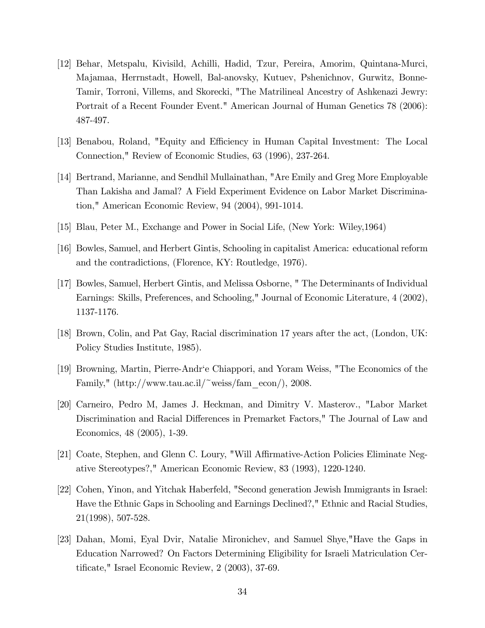- [12] Behar, Metspalu, Kivisild, Achilli, Hadid, Tzur, Pereira, Amorim, Quintana-Murci, Majamaa, Herrnstadt, Howell, Bal-anovsky, Kutuev, Pshenichnov, Gurwitz, Bonne-Tamir, Torroni, Villems, and Skorecki, "The Matrilineal Ancestry of Ashkenazi Jewry: Portrait of a Recent Founder Event." American Journal of Human Genetics 78 (2006): 487-497.
- [13] Benabou, Roland, "Equity and Efficiency in Human Capital Investment: The Local Connection," Review of Economic Studies, 63 (1996), 237-264.
- [14] Bertrand, Marianne, and Sendhil Mullainathan, "Are Emily and Greg More Employable Than Lakisha and Jamal? A Field Experiment Evidence on Labor Market Discrimination," American Economic Review, 94 (2004), 991-1014.
- [15] Blau, Peter M., Exchange and Power in Social Life, (New York: Wiley,1964)
- [16] Bowles, Samuel, and Herbert Gintis, Schooling in capitalist America: educational reform and the contradictions, (Florence, KY: Routledge, 1976).
- [17] Bowles, Samuel, Herbert Gintis, and Melissa Osborne, " The Determinants of Individual Earnings: Skills, Preferences, and Schooling," Journal of Economic Literature, 4 (2002), 1137-1176.
- [18] Brown, Colin, and Pat Gay, Racial discrimination 17 years after the act, (London, UK: Policy Studies Institute, 1985).
- [19] Browning, Martin, Pierre-Andrëe Chiappori, and Yoram Weiss, "The Economics of the Family,"  $(\text{http://www.tau.ac-il/~weiss/fam-econ/}), 2008$ .
- [20] Carneiro, Pedro M, James J. Heckman, and Dimitry V. Masterov., "Labor Market Discrimination and Racial Differences in Premarket Factors," The Journal of Law and Economics, 48 (2005), 1-39.
- [21] Coate, Stephen, and Glenn C. Loury, "Will Affirmative-Action Policies Eliminate Negative Stereotypes?," American Economic Review, 83 (1993), 1220-1240.
- [22] Cohen, Yinon, and Yitchak Haberfeld, "Second generation Jewish Immigrants in Israel: Have the Ethnic Gaps in Schooling and Earnings Declined?," Ethnic and Racial Studies, 21(1998), 507-528.
- [23] Dahan, Momi, Eyal Dvir, Natalie Mironichev, and Samuel Shye,"Have the Gaps in Education Narrowed? On Factors Determining Eligibility for Israeli Matriculation Certificate," Israel Economic Review, 2 (2003), 37-69.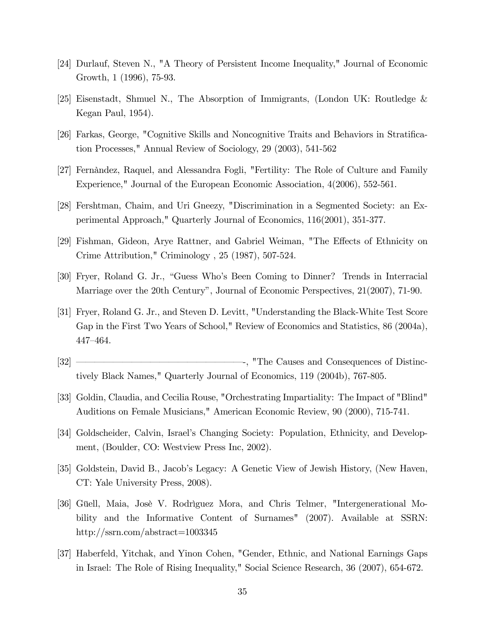- [24] Durlauf, Steven N., "A Theory of Persistent Income Inequality," Journal of Economic Growth, 1 (1996), 75-93.
- [25] Eisenstadt, Shmuel N., The Absorption of Immigrants, (London UK: Routledge & Kegan Paul, 1954).
- [26] Farkas, George, "Cognitive Skills and Noncognitive Traits and Behaviors in Stratification Processes," Annual Review of Sociology, 29 (2003), 541-562
- [27] Fernandez, Raquel, and Alessandra Fogli, "Fertility: The Role of Culture and Family Experience," Journal of the European Economic Association, 4(2006), 552-561.
- [28] Fershtman, Chaim, and Uri Gneezy, "Discrimination in a Segmented Society: an Experimental Approach," Quarterly Journal of Economics, 116(2001), 351-377.
- [29] Fishman, Gideon, Arye Rattner, and Gabriel Weiman, "The Effects of Ethnicity on Crime Attribution," Criminology , 25 (1987), 507-524.
- [30] Fryer, Roland G. Jr., "Guess Who's Been Coming to Dinner? Trends in Interracial Marriage over the 20th Centuryî, Journal of Economic Perspectives, 21(2007), 71-90.
- [31] Fryer, Roland G. Jr., and Steven D. Levitt, "Understanding the Black-White Test Score Gap in the First Two Years of School," Review of Economics and Statistics, 86 (2004a), 447-464.
- [32] <u>Same Causes and Consequences of Distinc-</u>,  $\Box$  The Causes and Consequences of Distinctively Black Names," Quarterly Journal of Economics, 119 (2004b), 767-805.
- [33] Goldin, Claudia, and Cecilia Rouse, "Orchestrating Impartiality: The Impact of "Blind" Auditions on Female Musicians," American Economic Review, 90 (2000), 715-741.
- [34] Goldscheider, Calvin, Israelís Changing Society: Population, Ethnicity, and Development, (Boulder, CO: Westview Press Inc, 2002).
- [35] Goldstein, David B., Jacobís Legacy: A Genetic View of Jewish History, (New Haven, CT: Yale University Press, 2008).
- [36] Güell, Maia, Josè V. Rodrìguez Mora, and Chris Telmer, "Intergenerational Mobility and the Informative Content of Surnames" (2007). Available at SSRN: http://ssrn.com/abstract=1003345
- [37] Haberfeld, Yitchak, and Yinon Cohen, "Gender, Ethnic, and National Earnings Gaps in Israel: The Role of Rising Inequality," Social Science Research, 36 (2007), 654-672.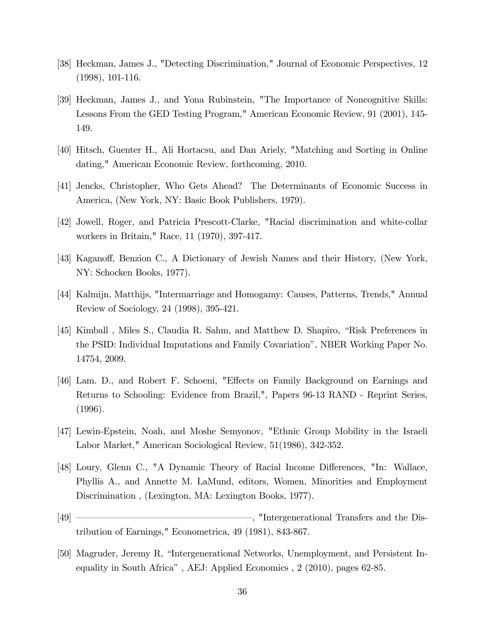- [38] Heckman, James J., "Detecting Discrimination," Journal of Economic Perspectives, 12 (1998), 101-116.
- [39] Heckman, James J., and Yona Rubinstein, "The Importance of Noncognitive Skills: Lessons From the GED Testing Program," American Economic Review, 91 (2001), 145- 149.
- [40] Hitsch, Guenter H., Ali Hortacsu, and Dan Ariely, "Matching and Sorting in Online dating," American Economic Review, forthcoming, 2010.
- [41] Jencks, Christopher, Who Gets Ahead? The Determinants of Economic Success in America, (New York, NY: Basic Book Publishers, 1979).
- [42] Jowell, Roger, and Patricia Prescott-Clarke, "Racial discrimination and white-collar workers in Britain," Race, 11 (1970), 397-417.
- [43] Kaganoff, Benzion C., A Dictionary of Jewish Names and their History, (New York, NY: Schocken Books, 1977).
- [44] Kalmijn, Matthijs, "Intermarriage and Homogamy: Causes, Patterns, Trends," Annual Review of Sociology, 24 (1998), 395-421.
- [45] Kimball, Miles S., Claudia R. Sahm, and Matthew D. Shapiro, "Risk Preferences in the PSID: Individual Imputations and Family Covariationî, NBER Working Paper No. 14754, 2009.
- [46] Lam. D., and Robert F. Schoeni, "Effects on Family Background on Earnings and Returns to Schooling: Evidence from Brazil,", Papers 96-13 RAND - Reprint Series, (1996).
- [47] Lewin-Epstein, Noah, and Moshe Semyonov, "Ethnic Group Mobility in the Israeli Labor Market," American Sociological Review, 51(1986), 342-352.
- [48] Loury, Glenn C., "A Dynamic Theory of Racial Income Differences, "In: Wallace, Phyllis A., and Annette M. LaMund, editors, Women, Minorities and Employment Discrimination , (Lexington, MA: Lexington Books, 1977).
- [49] <u>Solid of our contract of the Cool of the Dis-</u>  $\mu$ <sup>-</sup> Intergenerational Transfers and the Distribution of Earnings," Econometrica, 49 (1981), 843-867.
- [50] Magruder, Jeremy R, "Intergenerational Networks, Unemployment, and Persistent Inequality in South Africaî, AEJ: Applied Economics , 2 (2010), pages 62-85.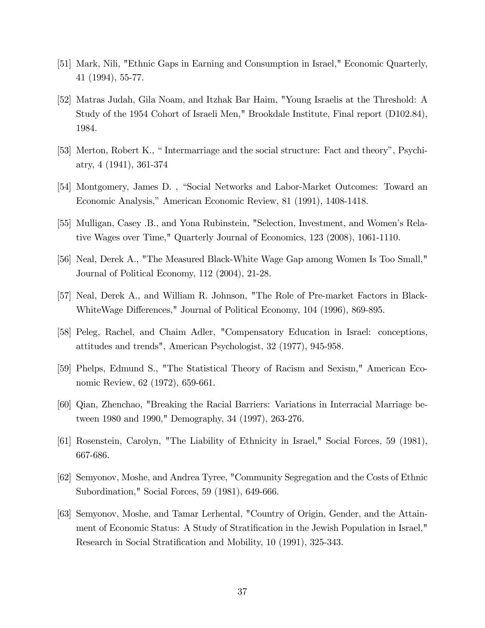- [51] Mark, Nili, "Ethnic Gaps in Earning and Consumption in Israel," Economic Quarterly, 41 (1994), 55-77.
- [52] Matras Judah, Gila Noam, and Itzhak Bar Haim, "Young Israelis at the Threshold: A Study of the 1954 Cohort of Israeli Men," Brookdale Institute, Final report (D102.84), 1984.
- [53] Merton, Robert K., "Intermarriage and the social structure: Fact and theory", Psychiatry, 4 (1941), 361-374
- [54] Montgomery, James D., "Social Networks and Labor-Market Outcomes: Toward an Economic Analysis," American Economic Review, 81 (1991), 1408-1418.
- [55] Mulligan, Casey .B., and Yona Rubinstein, "Selection, Investment, and Womenís Relative Wages over Time," Quarterly Journal of Economics, 123 (2008), 1061-1110.
- [56] Neal, Derek A., "The Measured Black-White Wage Gap among Women Is Too Small," Journal of Political Economy, 112 (2004), 21-28.
- [57] Neal, Derek A., and William R. Johnson, "The Role of Pre-market Factors in Black-WhiteWage Differences," Journal of Political Economy, 104 (1996), 869-895.
- [58] Peleg, Rachel, and Chaim Adler, "Compensatory Education in Israel: conceptions, attitudes and trends", American Psychologist, 32 (1977), 945-958.
- [59] Phelps, Edmund S., "The Statistical Theory of Racism and Sexism," American Economic Review, 62 (1972), 659-661.
- [60] Qian, Zhenchao, "Breaking the Racial Barriers: Variations in Interracial Marriage between 1980 and 1990," Demography, 34 (1997), 263-276.
- [61] Rosenstein, Carolyn, "The Liability of Ethnicity in Israel," Social Forces, 59 (1981), 667-686.
- [62] Semyonov, Moshe, and Andrea Tyree, "Community Segregation and the Costs of Ethnic Subordination," Social Forces, 59 (1981), 649-666.
- [63] Semyonov, Moshe, and Tamar Lerhental, "Country of Origin, Gender, and the Attainment of Economic Status: A Study of Stratification in the Jewish Population in Israel," Research in Social Stratification and Mobility, 10 (1991), 325-343.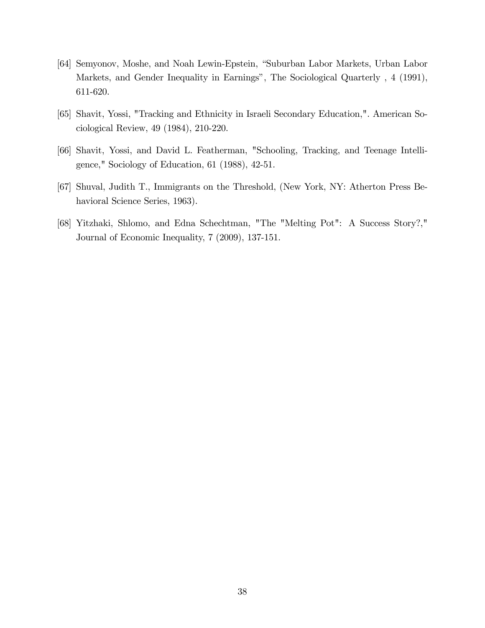- [64] Semyonov, Moshe, and Noah Lewin-Epstein, "Suburban Labor Markets, Urban Labor Markets, and Gender Inequality in Earnings", The Sociological Quarterly , 4 (1991), 611-620.
- [65] Shavit, Yossi, "Tracking and Ethnicity in Israeli Secondary Education,". American Sociological Review, 49 (1984), 210-220.
- [66] Shavit, Yossi, and David L. Featherman, "Schooling, Tracking, and Teenage Intelligence," Sociology of Education, 61 (1988), 42-51.
- [67] Shuval, Judith T., Immigrants on the Threshold, (New York, NY: Atherton Press Behavioral Science Series, 1963).
- [68] Yitzhaki, Shlomo, and Edna Schechtman, "The "Melting Pot": A Success Story?," Journal of Economic Inequality, 7 (2009), 137-151.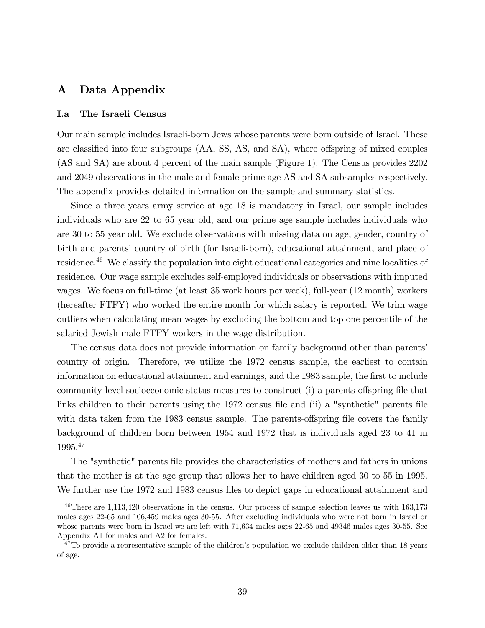# A Data Appendix

#### I.a The Israeli Census

Our main sample includes Israeli-born Jews whose parents were born outside of Israel. These are classified into four subgroups  $(AA, SS, AS, and SA)$ , where offspring of mixed couples (AS and SA) are about 4 percent of the main sample (Figure 1). The Census provides 2202 and 2049 observations in the male and female prime age AS and SA subsamples respectively. The appendix provides detailed information on the sample and summary statistics.

Since a three years army service at age 18 is mandatory in Israel, our sample includes individuals who are 22 to 65 year old, and our prime age sample includes individuals who are 30 to 55 year old. We exclude observations with missing data on age, gender, country of birth and parents' country of birth (for Israeli-born), educational attainment, and place of residence.<sup>46</sup> We classify the population into eight educational categories and nine localities of residence. Our wage sample excludes self-employed individuals or observations with imputed wages. We focus on full-time (at least 35 work hours per week), full-year (12 month) workers (hereafter FTFY) who worked the entire month for which salary is reported. We trim wage outliers when calculating mean wages by excluding the bottom and top one percentile of the salaried Jewish male FTFY workers in the wage distribution.

The census data does not provide information on family background other than parents' country of origin. Therefore, we utilize the 1972 census sample, the earliest to contain information on educational attainment and earnings, and the 1983 sample, the first to include community-level socioeconomic status measures to construct (i) a parents-offspring file that links children to their parents using the 1972 census file and (ii) a "synthetic" parents file with data taken from the 1983 census sample. The parents-offspring file covers the family background of children born between 1954 and 1972 that is individuals aged 23 to 41 in 1995.<sup>47</sup>

The "synthetic" parents file provides the characteristics of mothers and fathers in unions that the mother is at the age group that allows her to have children aged 30 to 55 in 1995. We further use the 1972 and 1983 census files to depict gaps in educational attainment and

<sup>46</sup>There are 1,113,420 observations in the census. Our process of sample selection leaves us with 163,173 males ages 22-65 and 106,459 males ages 30-55. After excluding individuals who were not born in Israel or whose parents were born in Israel we are left with 71,634 males ages 22-65 and 49346 males ages 30-55. See Appendix A1 for males and A2 for females.

 $47$ To provide a representative sample of the children's population we exclude children older than 18 years of age.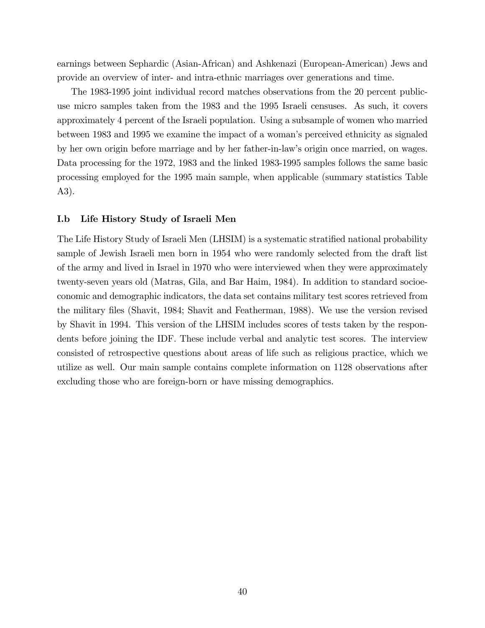earnings between Sephardic (Asian-African) and Ashkenazi (European-American) Jews and provide an overview of inter- and intra-ethnic marriages over generations and time.

The 1983-1995 joint individual record matches observations from the 20 percent publicuse micro samples taken from the 1983 and the 1995 Israeli censuses. As such, it covers approximately 4 percent of the Israeli population. Using a subsample of women who married between 1983 and 1995 we examine the impact of a woman's perceived ethnicity as signaled by her own origin before marriage and by her father-in-lawís origin once married, on wages. Data processing for the 1972, 1983 and the linked 1983-1995 samples follows the same basic processing employed for the 1995 main sample, when applicable (summary statistics Table A3).

#### I.b Life History Study of Israeli Men

The Life History Study of Israeli Men (LHSIM) is a systematic stratified national probability sample of Jewish Israeli men born in 1954 who were randomly selected from the draft list of the army and lived in Israel in 1970 who were interviewed when they were approximately twenty-seven years old (Matras, Gila, and Bar Haim, 1984). In addition to standard socioeconomic and demographic indicators, the data set contains military test scores retrieved from the military files (Shavit, 1984; Shavit and Featherman, 1988). We use the version revised by Shavit in 1994. This version of the LHSIM includes scores of tests taken by the respondents before joining the IDF. These include verbal and analytic test scores. The interview consisted of retrospective questions about areas of life such as religious practice, which we utilize as well. Our main sample contains complete information on 1128 observations after excluding those who are foreign-born or have missing demographics.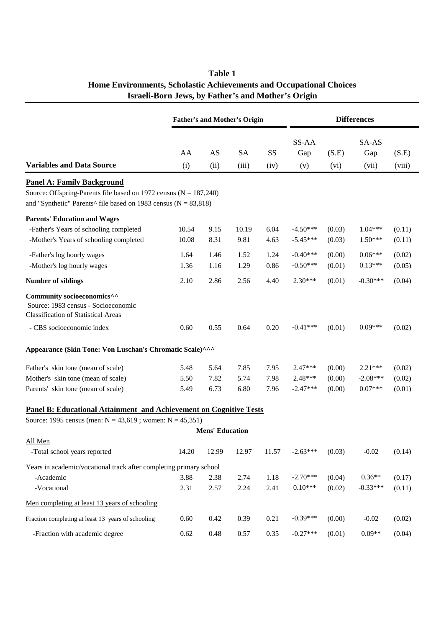|                                                                                                                                                                                                             |                        |                                 | <b>Father's and Mother's Origin</b> |                      |                                        |                            | <b>Differences</b>                   |                            |
|-------------------------------------------------------------------------------------------------------------------------------------------------------------------------------------------------------------|------------------------|---------------------------------|-------------------------------------|----------------------|----------------------------------------|----------------------------|--------------------------------------|----------------------------|
| <b>Variables and Data Source</b>                                                                                                                                                                            | AA<br>(i)              | AS<br>(ii)                      | <b>SA</b><br>(iii)                  | SS<br>(iv)           | SS-AA<br>Gap<br>(v)                    | (S.E)<br>(vi)              | SA-AS<br>Gap<br>(vii)                | (S.E)<br>(viii)            |
| <b>Panel A: Family Background</b><br>Source: Offspring-Parents file based on 1972 census ( $N = 187,240$ )<br>and "Synthetic" Parents <sup><math>\wedge</math></sup> file based on 1983 census (N = 83,818) |                        |                                 |                                     |                      |                                        |                            |                                      |                            |
| <b>Parents' Education and Wages</b><br>-Father's Years of schooling completed<br>-Mother's Years of schooling completed<br>-Father's log hourly wages                                                       | 10.54<br>10.08<br>1.64 | 9.15<br>8.31<br>1.46            | 10.19<br>9.81<br>1.52               | 6.04<br>4.63<br>1.24 | $-4.50***$<br>$-5.45***$<br>$-0.40***$ | (0.03)<br>(0.03)<br>(0.00) | $1.04***$<br>$1.50***$<br>$0.06***$  | (0.11)<br>(0.11)<br>(0.02) |
| -Mother's log hourly wages                                                                                                                                                                                  | 1.36                   | 1.16                            | 1.29                                | 0.86                 | $-0.50***$                             | (0.01)                     | $0.13***$                            | (0.05)                     |
| <b>Number of siblings</b>                                                                                                                                                                                   | 2.10                   | 2.86                            | 2.56                                | 4.40                 | 2.30***                                | (0.01)                     | $-0.30***$                           | (0.04)                     |
| Community socioeconomics^^<br>Source: 1983 census - Socioeconomic<br><b>Classification of Statistical Areas</b>                                                                                             |                        |                                 |                                     |                      |                                        |                            |                                      |                            |
| - CBS socioeconomic index                                                                                                                                                                                   | 0.60                   | 0.55                            | 0.64                                | 0.20                 | $-0.41***$                             | (0.01)                     | $0.09***$                            | (0.02)                     |
| Appearance (Skin Tone: Von Luschan's Chromatic Scale)^^^                                                                                                                                                    |                        |                                 |                                     |                      |                                        |                            |                                      |                            |
| Father's skin tone (mean of scale)<br>Mother's skin tone (mean of scale)<br>Parents' skin tone (mean of scale)                                                                                              | 5.48<br>5.50<br>5.49   | 5.64<br>7.82<br>6.73            | 7.85<br>5.74<br>6.80                | 7.95<br>7.98<br>7.96 | $2.47***$<br>2.48***<br>$-2.47***$     | (0.00)<br>(0.00)<br>(0.00) | $2.21***$<br>$-2.08***$<br>$0.07***$ | (0.02)<br>(0.02)<br>(0.01) |
| Panel B: Educational Attainment and Achievement on Cognitive Tests                                                                                                                                          |                        |                                 |                                     |                      |                                        |                            |                                      |                            |
| Source: 1995 census (men: $N = 43,619$ ; women: $N = 45,351$ )                                                                                                                                              |                        |                                 |                                     |                      |                                        |                            |                                      |                            |
| All Men<br>-Total school years reported                                                                                                                                                                     | 14.20                  | <b>Mens' Education</b><br>12.99 | 12.97                               | 11.57                | $-2.63***$                             | (0.03)                     | $-0.02$                              | (0.14)                     |
| Years in academic/vocational track after completing primary school                                                                                                                                          |                        |                                 |                                     |                      |                                        |                            |                                      |                            |
| -Academic<br>-Vocational                                                                                                                                                                                    | 3.88<br>2.31           | 2.38<br>2.57                    | 2.74<br>2.24                        | 1.18<br>2.41         | $-2.70***$<br>$0.10***$                | (0.04)<br>(0.02)           | $0.36**$<br>$-0.33***$               | (0.17)<br>(0.11)           |
| Men completing at least 13 years of schooling                                                                                                                                                               |                        |                                 |                                     |                      |                                        |                            |                                      |                            |
| Fraction completing at least 13 years of schooling                                                                                                                                                          | 0.60                   | 0.42                            | 0.39                                | 0.21                 | $-0.39***$                             | (0.00)                     | $-0.02$                              | (0.02)                     |
| -Fraction with academic degree                                                                                                                                                                              | 0.62                   | 0.48                            | 0.57                                | 0.35                 | $-0.27***$                             | (0.01)                     | $0.09**$                             | (0.04)                     |

# **Table 1 Home Environments, Scholastic Achievements and Occupational Choices Israeli-Born Jews, by Father's and Mother's Origin**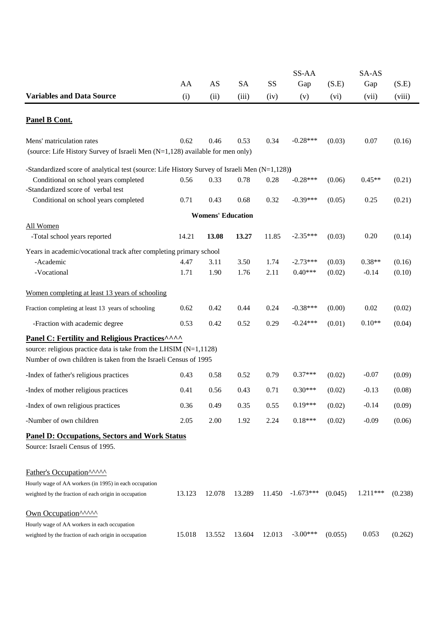|                                                                                                                                           |        |                          |           | SS-AA  |             |         | SA-AS      |         |  |
|-------------------------------------------------------------------------------------------------------------------------------------------|--------|--------------------------|-----------|--------|-------------|---------|------------|---------|--|
|                                                                                                                                           | AA     | AS                       | <b>SA</b> | SS     | Gap         | (S.E)   | Gap        | (S.E)   |  |
| <b>Variables and Data Source</b>                                                                                                          | (i)    | (ii)                     | (iii)     | (iv)   | (v)         | (vi)    | (vii)      | (viii)  |  |
| Panel B Cont.                                                                                                                             |        |                          |           |        |             |         |            |         |  |
| Mens' matriculation rates<br>(source: Life History Survey of Israeli Men (N=1,128) available for men only)                                | 0.62   | 0.46                     | 0.53      | 0.34   | $-0.28***$  | (0.03)  | 0.07       | (0.16)  |  |
|                                                                                                                                           |        |                          |           |        |             |         |            |         |  |
| -Standardized score of analytical test (source: Life History Survey of Israeli Men $(N=1,128)$ )<br>Conditional on school years completed | 0.56   | 0.33                     | 0.78      | 0.28   | $-0.28***$  | (0.06)  | $0.45**$   | (0.21)  |  |
| -Standardized score of verbal test                                                                                                        |        |                          |           |        |             |         |            |         |  |
| Conditional on school years completed                                                                                                     | 0.71   | 0.43                     | 0.68      | 0.32   | $-0.39***$  | (0.05)  | 0.25       | (0.21)  |  |
|                                                                                                                                           |        | <b>Womens' Education</b> |           |        |             |         |            |         |  |
| All Women                                                                                                                                 |        |                          |           |        |             |         |            |         |  |
| -Total school years reported                                                                                                              | 14.21  | 13.08                    | 13.27     | 11.85  | $-2.35***$  | (0.03)  | 0.20       | (0.14)  |  |
| Years in academic/vocational track after completing primary school                                                                        |        |                          |           |        |             |         |            |         |  |
| -Academic                                                                                                                                 | 4.47   | 3.11                     | 3.50      | 1.74   | $-2.73***$  | (0.03)  | $0.38**$   | (0.16)  |  |
| -Vocational                                                                                                                               | 1.71   | 1.90                     | 1.76      | 2.11   | $0.40***$   | (0.02)  | $-0.14$    | (0.10)  |  |
| Women completing at least 13 years of schooling                                                                                           |        |                          |           |        |             |         |            |         |  |
| Fraction completing at least 13 years of schooling                                                                                        | 0.62   | 0.42                     | 0.44      | 0.24   | $-0.38***$  | (0.00)  | 0.02       | (0.02)  |  |
| -Fraction with academic degree                                                                                                            | 0.53   | 0.42                     | 0.52      | 0.29   | $-0.24***$  | (0.01)  | $0.10**$   | (0.04)  |  |
| Panel C: Fertility and Religious Practices <sup>AAAA</sup>                                                                                |        |                          |           |        |             |         |            |         |  |
| source: religious practice data is take from the LHSIM $(N=1,1128)$<br>Number of own children is taken from the Israeli Census of 1995    |        |                          |           |        |             |         |            |         |  |
| -Index of father's religious practices                                                                                                    | 0.43   | 0.58                     | 0.52      | 0.79   | $0.37***$   | (0.02)  | $-0.07$    | (0.09)  |  |
| -Index of mother religious practices                                                                                                      | 0.41   | 0.56                     | 0.43      | 0.71   | $0.30***$   | (0.02)  | $-0.13$    | (0.08)  |  |
| -Index of own religious practices                                                                                                         | 0.36   | 0.49                     | 0.35      | 0.55   | $0.19***$   | (0.02)  | $-0.14$    | (0.09)  |  |
| -Number of own children                                                                                                                   | 2.05   | 2.00                     | 1.92      | 2.24   | $0.18***$   | (0.02)  | $-0.09$    | (0.06)  |  |
| <b>Panel D: Occupations, Sectors and Work Status</b>                                                                                      |        |                          |           |        |             |         |            |         |  |
| Source: Israeli Census of 1995.                                                                                                           |        |                          |           |        |             |         |            |         |  |
| Father's Occupation <sup>^^^^^</sup>                                                                                                      |        |                          |           |        |             |         |            |         |  |
| Hourly wage of AA workers (in 1995) in each occupation                                                                                    |        |                          |           |        |             |         |            |         |  |
| weighted by the fraction of each origin in occupation                                                                                     | 13.123 | 12.078                   | 13.289    | 11.450 | $-1.673***$ | (0.045) | $1.211***$ | (0.238) |  |
| Own Occupation <sup>^^^^^</sup>                                                                                                           |        |                          |           |        |             |         |            |         |  |
| Hourly wage of AA workers in each occupation                                                                                              |        |                          |           |        |             |         |            |         |  |
| weighted by the fraction of each origin in occupation                                                                                     | 15.018 | 13.552                   | 13.604    | 12.013 | $-3.00***$  | (0.055) | 0.053      | (0.262) |  |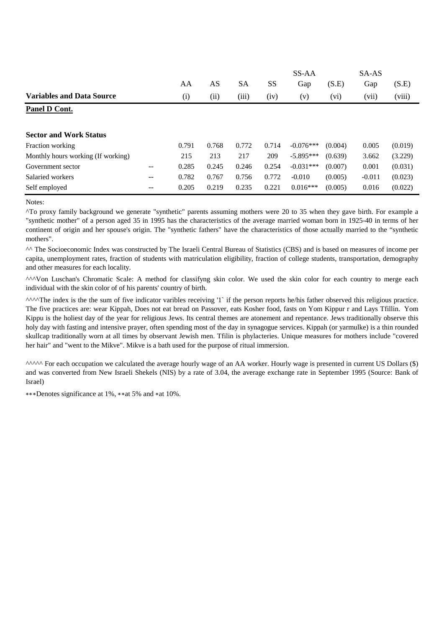|                                    |    |       |       |           |           | SS-AA       |         | SA-AS    |         |
|------------------------------------|----|-------|-------|-----------|-----------|-------------|---------|----------|---------|
|                                    |    | AA    | AS    | <b>SA</b> | <b>SS</b> | Gap         | (S.E)   | Gap      | (S.E)   |
| <b>Variables and Data Source</b>   |    | (i)   | (ii)  | (iii)     | (iv)      | (v)         | (vi)    | (vii)    | (viii)  |
| Panel D Cont.                      |    |       |       |           |           |             |         |          |         |
|                                    |    |       |       |           |           |             |         |          |         |
| <b>Sector and Work Status</b>      |    |       |       |           |           |             |         |          |         |
| Fraction working                   |    | 0.791 | 0.768 | 0.772     | 0.714     | $-0.076***$ | (0.004) | 0.005    | (0.019) |
| Monthly hours working (If working) |    | 215   | 213   | 217       | 209       | $-5.895***$ | (0.639) | 3.662    | (3.229) |
| Government sector                  | -- | 0.285 | 0.245 | 0.246     | 0.254     | $-0.031***$ | (0.007) | 0.001    | (0.031) |
| Salaried workers                   | -- | 0.782 | 0.767 | 0.756     | 0.772     | $-0.010$    | (0.005) | $-0.011$ | (0.023) |
| Self employed                      |    | 0.205 | 0.219 | 0.235     | 0.221     | $0.016***$  | (0.005) | 0.016    | (0.022) |

Notes:

^To proxy family background we generate "synthetic" parents assuming mothers were 20 to 35 when they gave birth. For example a "synthetic mother" of a person aged 35 in 1995 has the characteristics of the average married woman born in 1925-40 in terms of her continent of origin and her spouse's origin. The "synthetic fathers" have the characteristics of those actually married to the "synthetic mothers".

^^ The Socioeconomic Index was constructed by The Israeli Central Bureau of Statistics (CBS) and is based on measures of income per capita, unemployment rates, fraction of students with matriculation eligibility, fraction of college students, transportation, demography and other measures for each locality.

^^^Von Luschan's Chromatic Scale: A method for classifyng skin color. We used the skin color for each country to merge each individual with the skin color of of his parents' country of birth.

^^^^The index is the the sum of five indicator varibles receiving '1` if the person reports he/his father observed this religious practice. The five practices are: wear Kippah, Does not eat bread on Passover, eats Kosher food, fasts on Yom Kippur r and Lays Tfillin. Yom Kippu is the holiest day of the year for religious Jews. Its central themes are atonement and repentance. Jews traditionally observe this holy day with fasting and intensive prayer, often spending most of the day in synagogue services. Kippah (or yarmulke) is a thin rounded skullcap traditionally worn at all times by observant Jewish men. Tfilin is phylacteries. Unique measures for mothers include "covered her hair" and "went to the Mikve". Mikve is a bath used for the purpose of ritual immersion.

^^^^^ For each occupation we calculated the average hourly wage of an AA worker. Hourly wage is presented in current US Dollars (\$) and was converted from New Israeli Shekels (NIS) by a rate of 3.04, the average exchange rate in September 1995 (Source: Bank of Israel)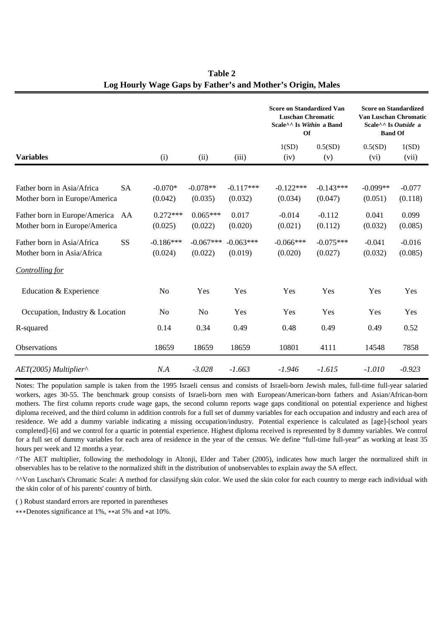|                                                                   |           |                        |                        |                        | <b>Score on Standardized Van</b><br><b>Luschan Chromatic</b><br>Scale <sup><math>\wedge \wedge</math></sup> Is Within a Band<br><b>Of</b> |                        | <b>Score on Standardized</b><br>Van Luschan Chromatic<br>Scale <sup>^^</sup> Is Outside a<br><b>Band Of</b> |                     |  |
|-------------------------------------------------------------------|-----------|------------------------|------------------------|------------------------|-------------------------------------------------------------------------------------------------------------------------------------------|------------------------|-------------------------------------------------------------------------------------------------------------|---------------------|--|
| <b>Variables</b>                                                  |           | (i)                    | (ii)                   | (iii)                  | 1(SD)<br>(iv)                                                                                                                             | 0.5(SD)<br>(v)         | 0.5(SD)<br>(vi)                                                                                             | 1(SD)<br>(vii)      |  |
| Father born in Asia/Africa<br>Mother born in Europe/America       | <b>SA</b> | $-0.070*$<br>(0.042)   | $-0.078**$<br>(0.035)  | $-0.117***$<br>(0.032) | $-0.122***$<br>(0.034)                                                                                                                    | $-0.143***$<br>(0.047) | $-0.099**$<br>(0.051)                                                                                       | $-0.077$<br>(0.118) |  |
| Father born in Europe/America AA<br>Mother born in Europe/America |           | $0.272***$<br>(0.025)  | $0.065***$<br>(0.022)  | 0.017<br>(0.020)       | $-0.014$<br>(0.021)                                                                                                                       | $-0.112$<br>(0.112)    | 0.041<br>(0.032)                                                                                            | 0.099<br>(0.085)    |  |
| Father born in Asia/Africa<br>Mother born in Asia/Africa          | <b>SS</b> | $-0.186***$<br>(0.024) | $-0.067***$<br>(0.022) | $-0.063***$<br>(0.019) | $-0.066***$<br>(0.020)                                                                                                                    | $-0.075***$<br>(0.027) | $-0.041$<br>(0.032)                                                                                         | $-0.016$<br>(0.085) |  |
| Controlling for                                                   |           |                        |                        |                        |                                                                                                                                           |                        |                                                                                                             |                     |  |
| Education & Experience                                            |           | N <sub>o</sub>         | Yes                    | Yes                    | Yes                                                                                                                                       | Yes                    | Yes                                                                                                         | Yes                 |  |
| Occupation, Industry & Location                                   |           | N <sub>o</sub>         | N <sub>o</sub>         | Yes                    | Yes                                                                                                                                       | Yes                    | Yes                                                                                                         | Yes                 |  |
| R-squared                                                         |           | 0.14                   | 0.34                   | 0.49                   | 0.48                                                                                                                                      | 0.49                   | 0.49                                                                                                        | 0.52                |  |
| Observations                                                      |           | 18659                  | 18659                  | 18659                  | 10801                                                                                                                                     | 4111                   | 14548                                                                                                       | 7858                |  |
| $AET(2005)$ Multiplier <sup><math>\wedge</math></sup>             |           | N.A                    | $-3.028$               | $-1.663$               | $-1.946$                                                                                                                                  | $-1.615$               | $-1.010$                                                                                                    | $-0.923$            |  |

**Table 2 Log Hourly Wage Gaps by Father's and Mother's Origin, Males**

Notes: The population sample is taken from the 1995 Israeli census and consists of Israeli-born Jewish males, full-time full-year salaried workers, ages 30-55. The benchmark group consists of Israeli-born men with European/American-born fathers and Asian/African-born mothers. The first column reports crude wage gaps, the second column reports wage gaps conditional on potential experience and highest diploma received, and the third column in addition controls for a full set of dummy variables for each occupation and industry and each area of residence. We add a dummy variable indicating a missing occupation/industry. Potential experience is calculated as [age]-[school years completed]-[6] and we control for a quartic in potential experience. Highest diploma received is represented by 8 dummy variables. We control for a full set of dummy variables for each area of residence in the year of the census. We define "full-time full-year" as working at least 35 hours per week and 12 months a year.

^The AET multiplier, following the methodology in Altonji, Elder and Taber (2005), indicates how much larger the normalized shift in observables has to be relative to the normalized shift in the distribution of unobservables to explain away the SA effect.

^^Von Luschan's Chromatic Scale: A method for classifyng skin color. We used the skin color for each country to merge each individual with the skin color of of his parents' country of birth.

( ) Robust standard errors are reported in parentheses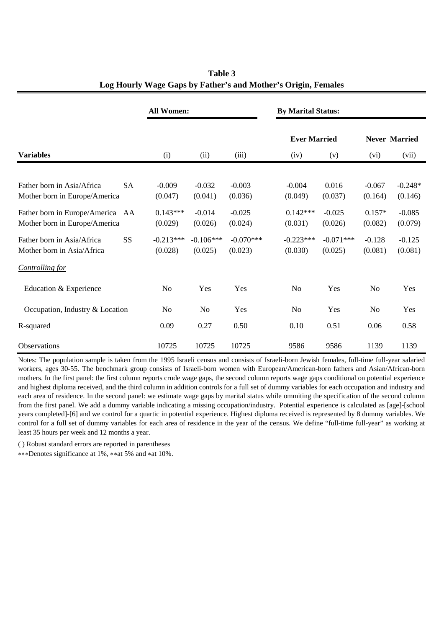|                                                                          | <b>All Women:</b>      |                        |                        | <b>By Marital Status:</b> |                        |                     |                      |  |
|--------------------------------------------------------------------------|------------------------|------------------------|------------------------|---------------------------|------------------------|---------------------|----------------------|--|
|                                                                          |                        |                        |                        | <b>Ever Married</b>       |                        |                     | <b>Never Married</b> |  |
| <b>Variables</b>                                                         | (i)                    | (ii)                   | (iii)                  | (iv)                      | (v)                    | (vi)                | (vii)                |  |
| Father born in Asia/Africa<br><b>SA</b><br>Mother born in Europe/America | $-0.009$<br>(0.047)    | $-0.032$<br>(0.041)    | $-0.003$<br>(0.036)    | $-0.004$<br>(0.049)       | 0.016<br>(0.037)       | $-0.067$<br>(0.164) | $-0.248*$<br>(0.146) |  |
| Father born in Europe/America AA<br>Mother born in Europe/America        | $0.143***$<br>(0.029)  | $-0.014$<br>(0.026)    | $-0.025$<br>(0.024)    | $0.142***$<br>(0.031)     | $-0.025$<br>(0.026)    | $0.157*$<br>(0.082) | $-0.085$<br>(0.079)  |  |
| Father born in Asia/Africa<br><b>SS</b><br>Mother born in Asia/Africa    | $-0.213***$<br>(0.028) | $-0.106***$<br>(0.025) | $-0.070***$<br>(0.023) | $-0.223***$<br>(0.030)    | $-0.071***$<br>(0.025) | $-0.128$<br>(0.081) | $-0.125$<br>(0.081)  |  |
| Controlling for                                                          |                        |                        |                        |                           |                        |                     |                      |  |
| Education & Experience                                                   | N <sub>o</sub>         | Yes                    | Yes                    | N <sub>o</sub>            | Yes                    | N <sub>o</sub>      | Yes                  |  |
| Occupation, Industry & Location                                          | N <sub>0</sub>         | N <sub>o</sub>         | Yes                    | N <sub>o</sub>            | Yes                    | N <sub>o</sub>      | Yes                  |  |
| R-squared                                                                | 0.09                   | 0.27                   | 0.50                   | 0.10                      | 0.51                   | 0.06                | 0.58                 |  |
| <b>Observations</b>                                                      | 10725                  | 10725                  | 10725                  | 9586                      | 9586                   | 1139                | 1139                 |  |

| Table 3                                                       |
|---------------------------------------------------------------|
| Log Hourly Wage Gaps by Father's and Mother's Origin, Females |

Notes: The population sample is taken from the 1995 Israeli census and consists of Israeli-born Jewish females, full-time full-year salaried workers, ages 30-55. The benchmark group consists of Israeli-born women with European/American-born fathers and Asian/African-born mothers. In the first panel: the first column reports crude wage gaps, the second column reports wage gaps conditional on potential experience and highest diploma received, and the third column in addition controls for a full set of dummy variables for each occupation and industry and each area of residence. In the second panel: we estimate wage gaps by marital status while ommiting the specification of the second column from the first panel. We add a dummy variable indicating a missing occupation/industry. Potential experience is calculated as [age]-[school years completed]-[6] and we control for a quartic in potential experience. Highest diploma received is represented by 8 dummy variables. We control for a full set of dummy variables for each area of residence in the year of the census. We define "full-time full-year" as working at least 35 hours per week and 12 months a year.

( ) Robust standard errors are reported in parentheses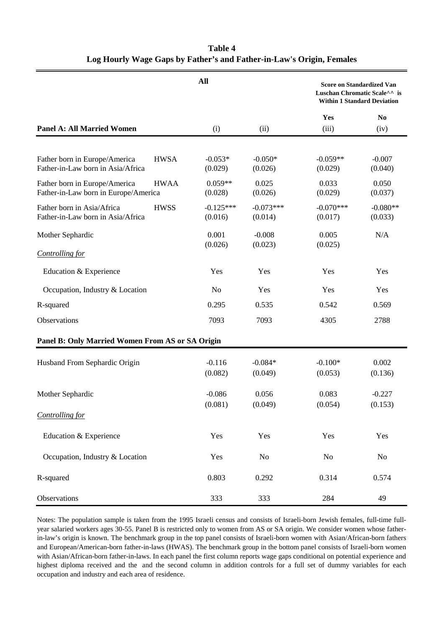|                                                                                      | <b>All</b>             |                        | <b>Score on Standardized Van</b><br>Luschan Chromatic Scale^^ is<br><b>Within 1 Standard Deviation</b> |                       |  |  |
|--------------------------------------------------------------------------------------|------------------------|------------------------|--------------------------------------------------------------------------------------------------------|-----------------------|--|--|
|                                                                                      |                        |                        | Yes                                                                                                    | N <sub>0</sub>        |  |  |
| <b>Panel A: All Married Women</b>                                                    | (i)                    | (ii)                   | (iii)                                                                                                  | (iv)                  |  |  |
| <b>HWSA</b><br>Father born in Europe/America<br>Father-in-Law born in Asia/Africa    | $-0.053*$<br>(0.029)   | $-0.050*$<br>(0.026)   | $-0.059**$<br>(0.029)                                                                                  | $-0.007$<br>(0.040)   |  |  |
| <b>HWAA</b><br>Father born in Europe/America<br>Father-in-Law born in Europe/America | $0.059**$<br>(0.028)   | 0.025<br>(0.026)       | 0.033<br>(0.029)                                                                                       | 0.050<br>(0.037)      |  |  |
| Father born in Asia/Africa<br><b>HWSS</b><br>Father-in-Law born in Asia/Africa       | $-0.125***$<br>(0.016) | $-0.073***$<br>(0.014) | $-0.070***$<br>(0.017)                                                                                 | $-0.080**$<br>(0.033) |  |  |
| Mother Sephardic                                                                     | 0.001<br>(0.026)       | $-0.008$<br>(0.023)    | 0.005<br>(0.025)                                                                                       | N/A                   |  |  |
| Controlling for                                                                      |                        |                        |                                                                                                        |                       |  |  |
| Education & Experience                                                               | Yes                    | Yes                    | Yes                                                                                                    | Yes                   |  |  |
| Occupation, Industry & Location                                                      | N <sub>o</sub>         | Yes                    | Yes                                                                                                    | Yes                   |  |  |
| R-squared                                                                            | 0.295                  | 0.535                  | 0.542                                                                                                  | 0.569                 |  |  |
| Observations                                                                         | 7093                   | 7093                   | 4305                                                                                                   | 2788                  |  |  |
| Panel B: Only Married Women From AS or SA Origin                                     |                        |                        |                                                                                                        |                       |  |  |
| Husband From Sephardic Origin                                                        | $-0.116$<br>(0.082)    | $-0.084*$<br>(0.049)   | $-0.100*$<br>(0.053)                                                                                   | 0.002<br>(0.136)      |  |  |
| Mother Sephardic                                                                     | $-0.086$               | 0.056                  | 0.083                                                                                                  | $-0.227$              |  |  |
| Controlling for                                                                      | (0.081)                | (0.049)                | (0.054)                                                                                                | (0.153)               |  |  |
| Education & Experience                                                               | Yes                    | Yes                    | Yes                                                                                                    | Yes                   |  |  |
| Occupation, Industry & Location                                                      | Yes                    | N <sub>0</sub>         | N <sub>0</sub>                                                                                         | No                    |  |  |
| R-squared                                                                            | 0.803                  | 0.292                  | 0.314                                                                                                  | 0.574                 |  |  |
| Observations                                                                         | 333                    | 333                    | 284                                                                                                    | 49                    |  |  |

# **Table 4 Log Hourly Wage Gaps by Father's and Father-in-Law's Origin, Females**

Notes: The population sample is taken from the 1995 Israeli census and consists of Israeli-born Jewish females, full-time fullyear salaried workers ages 30-55. Panel B is restricted only to women from AS or SA origin. We consider women whose fatherin-law's origin is known. The benchmark group in the top panel consists of Israeli-born women with Asian/African-born fathers and European/American-born father-in-laws (HWAS). The benchmark group in the bottom panel consists of Israeli-born women with Asian/African-born father-in-laws. In each panel the first column reports wage gaps conditional on potential experience and highest diploma received and the and the second column in addition controls for a full set of dummy variables for each occupation and industry and each area of residence.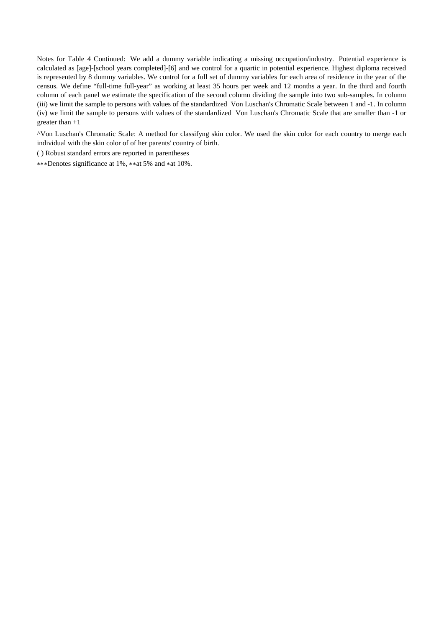Notes for Table 4 Continued: We add a dummy variable indicating a missing occupation/industry. Potential experience is calculated as [age]-[school years completed]-[6] and we control for a quartic in potential experience. Highest diploma received is represented by 8 dummy variables. We control for a full set of dummy variables for each area of residence in the year of the census. We define "full-time full-year" as working at least 35 hours per week and 12 months a year. In the third and fourth column of each panel we estimate the specification of the second column dividing the sample into two sub-samples. In column (iii) we limit the sample to persons with values of the standardized Von Luschan's Chromatic Scale between 1 and -1. In column (iv) we limit the sample to persons with values of the standardized Von Luschan's Chromatic Scale that are smaller than -1 or greater than +1

^Von Luschan's Chromatic Scale: A method for classifyng skin color. We used the skin color for each country to merge each individual with the skin color of of her parents' country of birth.

( ) Robust standard errors are reported in parentheses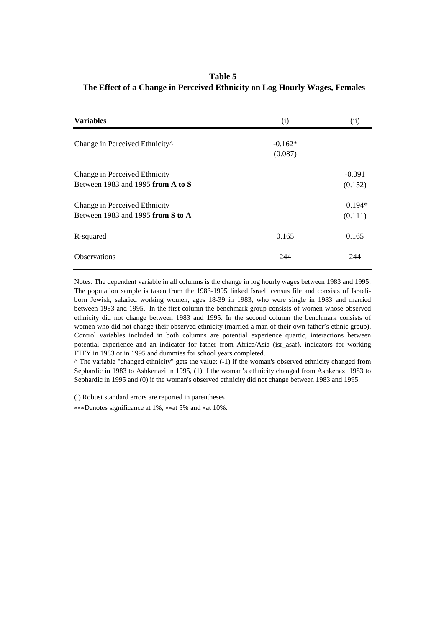| <b>Variables</b>                                                   | (i)                  | (ii)                |
|--------------------------------------------------------------------|----------------------|---------------------|
| Change in Perceived Ethnicity <sup><math>\wedge</math></sup>       | $-0.162*$<br>(0.087) |                     |
| Change in Perceived Ethnicity<br>Between 1983 and 1995 from A to S |                      | $-0.091$<br>(0.152) |
| Change in Perceived Ethnicity<br>Between 1983 and 1995 from S to A |                      | $0.194*$<br>(0.111) |
| R-squared                                                          | 0.165                | 0.165               |
| <b>Observations</b>                                                | 244                  | 244                 |

**Table 5 The Effect of a Change in Perceived Ethnicity on Log Hourly Wages, Females**

Notes: The dependent variable in all columns is the change in log hourly wages between 1983 and 1995. The population sample is taken from the 1983-1995 linked Israeli census file and consists of Israeliborn Jewish, salaried working women, ages 18-39 in 1983, who were single in 1983 and married between 1983 and 1995. In the first column the benchmark group consists of women whose observed ethnicity did not change between 1983 and 1995. In the second column the benchmark consists of women who did not change their observed ethnicity (married a man of their own father's ethnic group). Control variables included in both columns are potential experience quartic, interactions between potential experience and an indicator for father from Africa/Asia (isr\_asaf), indicators for working FTFY in 1983 or in 1995 and dummies for school years completed.

^ The variable "changed ethnicity" gets the value: (-1) if the woman's observed ethnicity changed from Sephardic in 1983 to Ashkenazi in 1995, (1) if the woman's ethnicity changed from Ashkenazi 1983 to Sephardic in 1995 and (0) if the woman's observed ethnicity did not change between 1983 and 1995.

( ) Robust standard errors are reported in parentheses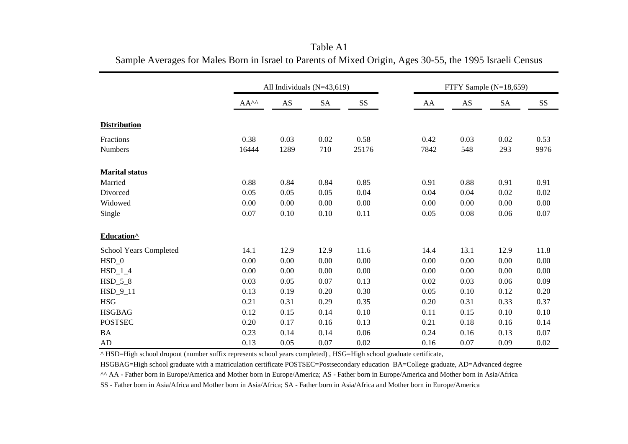|                        |                     | All Individuals $(N=43,619)$ |                     |          |      | FTFY Sample $(N=18,659)$ |           |           |  |
|------------------------|---------------------|------------------------------|---------------------|----------|------|--------------------------|-----------|-----------|--|
|                        | $AA^{\wedge\wedge}$ | $\mathbf{A}\mathbf{S}$       | $\operatorname{SA}$ | SS       | AA   | $\mathbf{A}\mathbf{S}$   | <b>SA</b> | <b>SS</b> |  |
| <b>Distribution</b>    |                     |                              |                     |          |      |                          |           |           |  |
| Fractions              | 0.38                | 0.03                         | 0.02                | 0.58     | 0.42 | 0.03                     | 0.02      | 0.53      |  |
| <b>Numbers</b>         | 16444               | 1289                         | 710                 | 25176    | 7842 | 548                      | 293       | 9976      |  |
| <b>Marital status</b>  |                     |                              |                     |          |      |                          |           |           |  |
| Married                | 0.88                | 0.84                         | 0.84                | 0.85     | 0.91 | 0.88                     | 0.91      | 0.91      |  |
| Divorced               | 0.05                | 0.05                         | 0.05                | 0.04     | 0.04 | 0.04                     | 0.02      | 0.02      |  |
| Widowed                | 0.00                | 0.00                         | 0.00                | 0.00     | 0.00 | 0.00                     | 0.00      | 0.00      |  |
| Single                 | 0.07                | 0.10                         | 0.10                | 0.11     | 0.05 | 0.08                     | 0.06      | 0.07      |  |
| Education <sup>^</sup> |                     |                              |                     |          |      |                          |           |           |  |
| School Years Completed | 14.1                | 12.9                         | 12.9                | 11.6     | 14.4 | 13.1                     | 12.9      | 11.8      |  |
| $HSD_0$                | 0.00                | 0.00                         | 0.00                | 0.00     | 0.00 | 0.00                     | 0.00      | 0.00      |  |
| $HSD_1_4$              | 0.00                | 0.00                         | 0.00                | 0.00     | 0.00 | 0.00                     | 0.00      | 0.00      |  |
| $HSD_5_8$              | 0.03                | 0.05                         | 0.07                | 0.13     | 0.02 | 0.03                     | 0.06      | 0.09      |  |
| $HSD_9_11$             | 0.13                | 0.19                         | 0.20                | 0.30     | 0.05 | 0.10                     | 0.12      | 0.20      |  |
| <b>HSG</b>             | 0.21                | 0.31                         | 0.29                | 0.35     | 0.20 | 0.31                     | 0.33      | 0.37      |  |
| <b>HSGBAG</b>          | 0.12                | 0.15                         | 0.14                | 0.10     | 0.11 | 0.15                     | 0.10      | 0.10      |  |
| <b>POSTSEC</b>         | 0.20                | 0.17                         | 0.16                | 0.13     | 0.21 | 0.18                     | 0.16      | 0.14      |  |
| <b>BA</b>              | 0.23                | 0.14                         | 0.14                | 0.06     | 0.24 | 0.16                     | 0.13      | 0.07      |  |
| AD                     | 0.13                | 0.05                         | 0.07                | $0.02\,$ | 0.16 | 0.07                     | 0.09      | 0.02      |  |

Table A1 Sample Averages for Males Born in Israel to Parents of Mixed Origin, Ages 30-55, the 1995 Israeli Census

^ HSD=High school dropout (number suffix represents school years completed) , HSG=High school graduate certificate,

HSGBAG=High school graduate with a matriculation certificate POSTSEC=Postsecondary education BA=College graduate, AD=Advanced degree

^^ AA - Father born in Europe/America and Mother born in Europe/America; AS - Father born in Europe/America and Mother born in Asia/Africa

SS - Father born in Asia/Africa and Mother born in Asia/Africa; SA - Father born in Asia/Africa and Mother born in Europe/America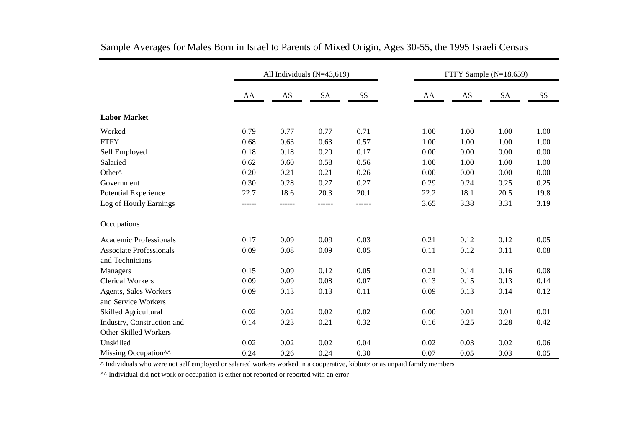|                                  |        | All Individuals $(N=43,619)$ |           |           |      | FTFY Sample (N=18,659) |           |           |  |
|----------------------------------|--------|------------------------------|-----------|-----------|------|------------------------|-----------|-----------|--|
|                                  | AA     | AS                           | <b>SA</b> | <b>SS</b> | AA   | AS                     | <b>SA</b> | <b>SS</b> |  |
| <b>Labor Market</b>              |        |                              |           |           |      |                        |           |           |  |
| Worked                           | 0.79   | 0.77                         | 0.77      | 0.71      | 1.00 | 1.00                   | 1.00      | 1.00      |  |
| <b>FTFY</b>                      | 0.68   | 0.63                         | 0.63      | 0.57      | 1.00 | 1.00                   | 1.00      | 1.00      |  |
| Self Employed                    | 0.18   | 0.18                         | 0.20      | 0.17      | 0.00 | 0.00                   | 0.00      | 0.00      |  |
| Salaried                         | 0.62   | 0.60                         | 0.58      | 0.56      | 1.00 | 1.00                   | 1.00      | 1.00      |  |
| Other <sup>^</sup>               | 0.20   | 0.21                         | 0.21      | 0.26      | 0.00 | 0.00                   | 0.00      | 0.00      |  |
| Government                       | 0.30   | 0.28                         | 0.27      | 0.27      | 0.29 | 0.24                   | 0.25      | 0.25      |  |
| Potential Experience             | 22.7   | 18.6                         | 20.3      | 20.1      | 22.2 | 18.1                   | 20.5      | 19.8      |  |
| Log of Hourly Earnings           | ------ | ------                       | ------    | ------    | 3.65 | 3.38                   | 3.31      | 3.19      |  |
| Occupations                      |        |                              |           |           |      |                        |           |           |  |
| <b>Academic Professionals</b>    | 0.17   | 0.09                         | 0.09      | 0.03      | 0.21 | 0.12                   | 0.12      | 0.05      |  |
| <b>Associate Professionals</b>   | 0.09   | 0.08                         | 0.09      | 0.05      | 0.11 | 0.12                   | 0.11      | 0.08      |  |
| and Technicians                  |        |                              |           |           |      |                        |           |           |  |
| Managers                         | 0.15   | 0.09                         | 0.12      | 0.05      | 0.21 | 0.14                   | 0.16      | 0.08      |  |
| <b>Clerical Workers</b>          | 0.09   | 0.09                         | 0.08      | 0.07      | 0.13 | 0.15                   | 0.13      | 0.14      |  |
| <b>Agents, Sales Workers</b>     | 0.09   | 0.13                         | 0.13      | 0.11      | 0.09 | 0.13                   | 0.14      | 0.12      |  |
| and Service Workers              |        |                              |           |           |      |                        |           |           |  |
| Skilled Agricultural             | 0.02   | 0.02                         | 0.02      | 0.02      | 0.00 | 0.01                   | 0.01      | 0.01      |  |
| Industry, Construction and       | 0.14   | 0.23                         | 0.21      | 0.32      | 0.16 | 0.25                   | 0.28      | 0.42      |  |
| Other Skilled Workers            |        |                              |           |           |      |                        |           |           |  |
| Unskilled                        | 0.02   | 0.02                         | 0.02      | 0.04      | 0.02 | 0.03                   | 0.02      | 0.06      |  |
| Missing Occupation <sup>^^</sup> | 0.24   | 0.26                         | 0.24      | 0.30      | 0.07 | 0.05                   | 0.03      | 0.05      |  |

Sample Averages for Males Born in Israel to Parents of Mixed Origin, Ages 30-55, the 1995 Israeli Census

^ Individuals who were not self employed or salaried workers worked in a cooperative, kibbutz or as unpaid family members

^^ Individual did not work or occupation is either not reported or reported with an error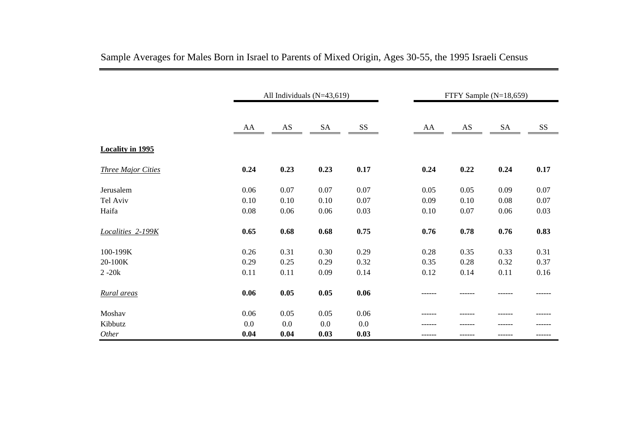|                           |      |          | All Individuals $(N=43,619)$ |         |      | FTFY Sample $(N=18,659)$ |           |        |  |
|---------------------------|------|----------|------------------------------|---------|------|--------------------------|-----------|--------|--|
|                           | AA   | AS       | SA                           | SS      | AA   | AS                       | <u>SA</u> | SS     |  |
| <b>Locality in 1995</b>   |      |          |                              |         |      |                          |           |        |  |
| <b>Three Major Cities</b> | 0.24 | 0.23     | 0.23                         | 0.17    | 0.24 | 0.22                     | 0.24      | 0.17   |  |
| Jerusalem                 | 0.06 | 0.07     | 0.07                         | 0.07    | 0.05 | 0.05                     | 0.09      | 0.07   |  |
| Tel Aviv                  | 0.10 | 0.10     | 0.10                         | 0.07    | 0.09 | 0.10                     | 0.08      | 0.07   |  |
| Haifa                     | 0.08 | $0.06\,$ | 0.06                         | 0.03    | 0.10 | 0.07                     | 0.06      | 0.03   |  |
| Localities 2-199K         | 0.65 | 0.68     | 0.68                         | 0.75    | 0.76 | 0.78                     | 0.76      | 0.83   |  |
| 100-199K                  | 0.26 | 0.31     | 0.30                         | 0.29    | 0.28 | 0.35                     | 0.33      | 0.31   |  |
| 20-100K                   | 0.29 | 0.25     | 0.29                         | 0.32    | 0.35 | 0.28                     | 0.32      | 0.37   |  |
| $2 - 20k$                 | 0.11 | 0.11     | 0.09                         | 0.14    | 0.12 | 0.14                     | 0.11      | 0.16   |  |
| Rural areas               | 0.06 | 0.05     | 0.05                         | 0.06    |      |                          |           | ------ |  |
| Moshav                    | 0.06 | 0.05     | 0.05                         | 0.06    |      |                          |           |        |  |
| Kibbutz                   | 0.0  | 0.0      | 0.0                          | $0.0\,$ |      |                          |           |        |  |
| Other                     | 0.04 | 0.04     | 0.03                         | 0.03    |      |                          |           | ------ |  |

Sample Averages for Males Born in Israel to Parents of Mixed Origin, Ages 30-55, the 1995 Israeli Census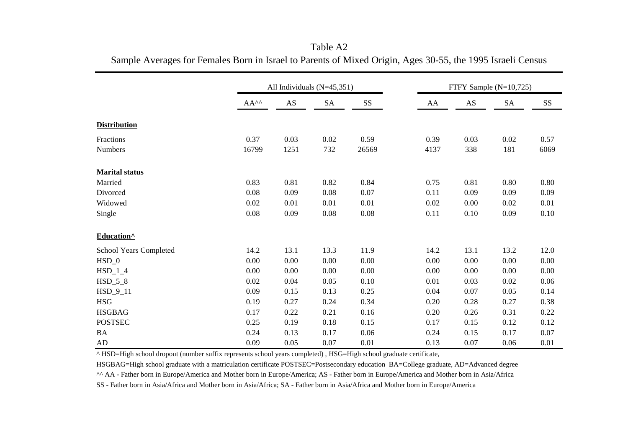|                        |                     | All Individuals $(N=45,351)$ |            |          |      | FTFY Sample (N=10,725) |           |           |  |
|------------------------|---------------------|------------------------------|------------|----------|------|------------------------|-----------|-----------|--|
|                        | $AA^{\wedge\wedge}$ | $\mathbf{A}\mathbf{S}$       | ${\rm SA}$ | $\rm SS$ | AA   | $\mathbf{A}\mathbf{S}$ | <b>SA</b> | <b>SS</b> |  |
| <b>Distribution</b>    |                     |                              |            |          |      |                        |           |           |  |
| Fractions              | 0.37                | 0.03                         | 0.02       | 0.59     | 0.39 | 0.03                   | 0.02      | 0.57      |  |
| <b>Numbers</b>         | 16799               | 1251                         | 732        | 26569    | 4137 | 338                    | 181       | 6069      |  |
| <b>Marital status</b>  |                     |                              |            |          |      |                        |           |           |  |
| Married                | 0.83                | 0.81                         | 0.82       | 0.84     | 0.75 | 0.81                   | 0.80      | 0.80      |  |
| Divorced               | 0.08                | 0.09                         | 0.08       | 0.07     | 0.11 | 0.09                   | 0.09      | 0.09      |  |
| Widowed                | 0.02                | 0.01                         | 0.01       | 0.01     | 0.02 | 0.00                   | 0.02      | 0.01      |  |
| Single                 | 0.08                | 0.09                         | 0.08       | 0.08     | 0.11 | 0.10                   | 0.09      | 0.10      |  |
| Education^             |                     |                              |            |          |      |                        |           |           |  |
| School Years Completed | 14.2                | 13.1                         | 13.3       | 11.9     | 14.2 | 13.1                   | 13.2      | 12.0      |  |
| $HSD_0$                | 0.00                | 0.00                         | 0.00       | 0.00     | 0.00 | 0.00                   | 0.00      | 0.00      |  |
| $HSD_1_4$              | 0.00                | 0.00                         | 0.00       | 0.00     | 0.00 | 0.00                   | 0.00      | 0.00      |  |
| $HSD_5_8$              | 0.02                | 0.04                         | 0.05       | 0.10     | 0.01 | 0.03                   | 0.02      | 0.06      |  |
| HSD_9_11               | 0.09                | 0.15                         | 0.13       | 0.25     | 0.04 | 0.07                   | 0.05      | 0.14      |  |
| <b>HSG</b>             | 0.19                | 0.27                         | 0.24       | 0.34     | 0.20 | 0.28                   | 0.27      | 0.38      |  |
| <b>HSGBAG</b>          | 0.17                | 0.22                         | 0.21       | 0.16     | 0.20 | 0.26                   | 0.31      | 0.22      |  |
| <b>POSTSEC</b>         | 0.25                | 0.19                         | 0.18       | 0.15     | 0.17 | 0.15                   | 0.12      | 0.12      |  |
| <b>BA</b>              | 0.24                | 0.13                         | 0.17       | 0.06     | 0.24 | 0.15                   | 0.17      | 0.07      |  |
| AD                     | 0.09                | 0.05                         | 0.07       | 0.01     | 0.13 | 0.07                   | 0.06      | 0.01      |  |

Table A2 Sample Averages for Females Born in Israel to Parents of Mixed Origin, Ages 30-55, the 1995 Israeli Census

^ HSD=High school dropout (number suffix represents school years completed) , HSG=High school graduate certificate,

HSGBAG=High school graduate with a matriculation certificate POSTSEC=Postsecondary education BA=College graduate, AD=Advanced degree

^^ AA - Father born in Europe/America and Mother born in Europe/America; AS - Father born in Europe/America and Mother born in Asia/Africa

SS - Father born in Asia/Africa and Mother born in Asia/Africa; SA - Father born in Asia/Africa and Mother born in Europe/America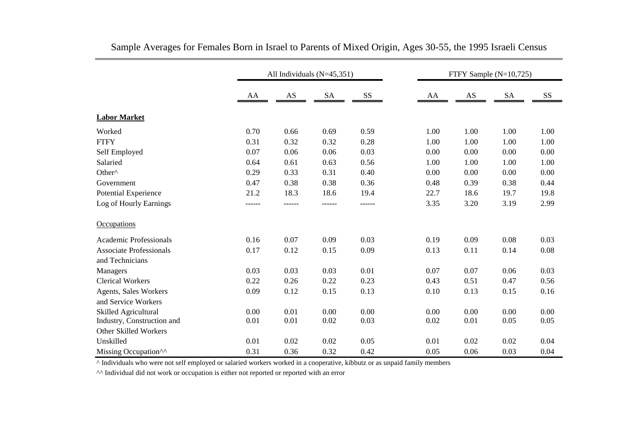|                                  |        | All Individuals $(N=45,351)$ |           |           | FTFY Sample $(N=10,725)$ |      |           |           |
|----------------------------------|--------|------------------------------|-----------|-----------|--------------------------|------|-----------|-----------|
|                                  | AA     | AS                           | <b>SA</b> | <b>SS</b> | AA                       | AS   | <b>SA</b> | <b>SS</b> |
| <b>Labor Market</b>              |        |                              |           |           |                          |      |           |           |
| Worked                           | 0.70   | 0.66                         | 0.69      | 0.59      | 1.00                     | 1.00 | 1.00      | 1.00      |
| <b>FTFY</b>                      | 0.31   | 0.32                         | 0.32      | 0.28      | 1.00                     | 1.00 | 1.00      | 1.00      |
| Self Employed                    | 0.07   | 0.06                         | 0.06      | 0.03      | 0.00                     | 0.00 | 0.00      | 0.00      |
| Salaried                         | 0.64   | 0.61                         | 0.63      | 0.56      | 1.00                     | 1.00 | 1.00      | 1.00      |
| Other^                           | 0.29   | 0.33                         | 0.31      | 0.40      | 0.00                     | 0.00 | 0.00      | 0.00      |
| Government                       | 0.47   | 0.38                         | 0.38      | 0.36      | 0.48                     | 0.39 | 0.38      | 0.44      |
| <b>Potential Experience</b>      | 21.2   | 18.3                         | 18.6      | 19.4      | 22.7                     | 18.6 | 19.7      | 19.8      |
| Log of Hourly Earnings           | ------ | ------                       | ------    | ------    | 3.35                     | 3.20 | 3.19      | 2.99      |
| Occupations                      |        |                              |           |           |                          |      |           |           |
| <b>Academic Professionals</b>    | 0.16   | 0.07                         | 0.09      | 0.03      | 0.19                     | 0.09 | 0.08      | 0.03      |
| <b>Associate Professionals</b>   | 0.17   | 0.12                         | 0.15      | 0.09      | 0.13                     | 0.11 | 0.14      | 0.08      |
| and Technicians                  |        |                              |           |           |                          |      |           |           |
| Managers                         | 0.03   | 0.03                         | 0.03      | 0.01      | 0.07                     | 0.07 | 0.06      | 0.03      |
| <b>Clerical Workers</b>          | 0.22   | 0.26                         | 0.22      | 0.23      | 0.43                     | 0.51 | 0.47      | 0.56      |
| Agents, Sales Workers            | 0.09   | 0.12                         | 0.15      | 0.13      | 0.10                     | 0.13 | 0.15      | 0.16      |
| and Service Workers              |        |                              |           |           |                          |      |           |           |
| Skilled Agricultural             | 0.00   | 0.01                         | 0.00      | 0.00      | 0.00                     | 0.00 | 0.00      | 0.00      |
| Industry, Construction and       | 0.01   | 0.01                         | 0.02      | 0.03      | 0.02                     | 0.01 | 0.05      | 0.05      |
| Other Skilled Workers            |        |                              |           |           |                          |      |           |           |
| Unskilled                        | 0.01   | 0.02                         | 0.02      | 0.05      | 0.01                     | 0.02 | 0.02      | 0.04      |
| Missing Occupation <sup>^^</sup> | 0.31   | 0.36                         | 0.32      | 0.42      | 0.05                     | 0.06 | 0.03      | 0.04      |

Sample Averages for Females Born in Israel to Parents of Mixed Origin, Ages 30-55, the 1995 Israeli Census

^ Individuals who were not self employed or salaried workers worked in a cooperative, kibbutz or as unpaid family members

^^ Individual did not work or occupation is either not reported or reported with an error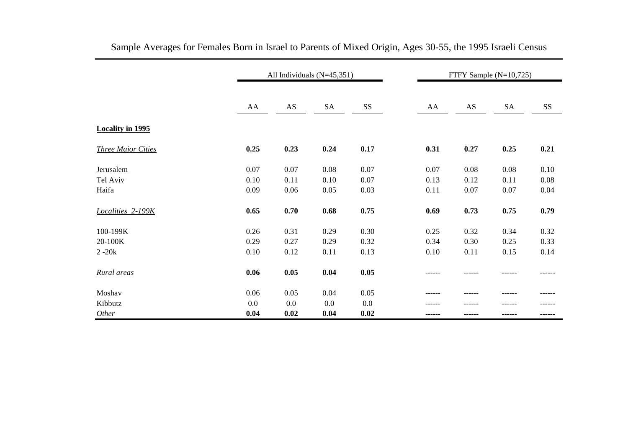|                           | All Individuals $(N=45,351)$ |      |           |                 | FTFY Sample $(N=10,725)$ |        |        |                 |
|---------------------------|------------------------------|------|-----------|-----------------|--------------------------|--------|--------|-----------------|
|                           | AA                           | AS   | <b>SA</b> | SS <sub>1</sub> | AA                       | AS     | SA     | SS <sub>1</sub> |
| <b>Locality in 1995</b>   |                              |      |           |                 |                          |        |        |                 |
| <b>Three Major Cities</b> | 0.25                         | 0.23 | 0.24      | 0.17            | 0.31                     | 0.27   | 0.25   | 0.21            |
| Jerusalem                 | 0.07                         | 0.07 | 0.08      | 0.07            | 0.07                     | 0.08   | 0.08   | 0.10            |
| Tel Aviv                  | 0.10                         | 0.11 | 0.10      | 0.07            | 0.13                     | 0.12   | 0.11   | 0.08            |
| Haifa                     | 0.09                         | 0.06 | 0.05      | 0.03            | 0.11                     | 0.07   | 0.07   | 0.04            |
| Localities 2-199K         | 0.65                         | 0.70 | 0.68      | 0.75            | 0.69                     | 0.73   | 0.75   | 0.79            |
| 100-199K                  | 0.26                         | 0.31 | 0.29      | 0.30            | 0.25                     | 0.32   | 0.34   | 0.32            |
| 20-100K                   | 0.29                         | 0.27 | 0.29      | 0.32            | 0.34                     | 0.30   | 0.25   | 0.33            |
| $2 - 20k$                 | 0.10                         | 0.12 | 0.11      | 0.13            | 0.10                     | 0.11   | 0.15   | 0.14            |
| Rural areas               | 0.06                         | 0.05 | 0.04      | 0.05            |                          |        |        |                 |
| Moshav                    | 0.06                         | 0.05 | 0.04      | 0.05            |                          |        |        |                 |
| Kibbutz                   | 0.0                          | 0.0  | $0.0\,$   | $0.0\,$         |                          |        |        |                 |
| Other                     | 0.04                         | 0.02 | 0.04      | 0.02            | ------                   | ------ | ------ | ------          |

Sample Averages for Females Born in Israel to Parents of Mixed Origin, Ages 30-55, the 1995 Israeli Census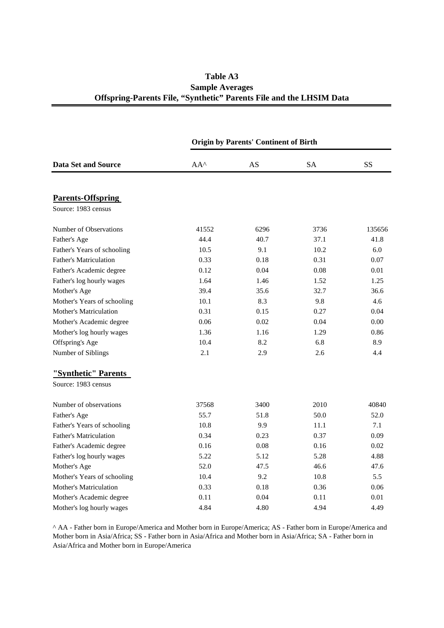|                                            | <b>Origin by Parents' Continent of Birth</b> |      |           |           |  |  |  |
|--------------------------------------------|----------------------------------------------|------|-----------|-----------|--|--|--|
| <b>Data Set and Source</b>                 | $AA^{\wedge}$                                | AS   | <b>SA</b> | <b>SS</b> |  |  |  |
|                                            |                                              |      |           |           |  |  |  |
| <b>Parents-Offspring</b>                   |                                              |      |           |           |  |  |  |
| Source: 1983 census                        |                                              |      |           |           |  |  |  |
| Number of Observations                     | 41552                                        | 6296 | 3736      | 135656    |  |  |  |
| Father's Age                               | 44.4                                         | 40.7 | 37.1      | 41.8      |  |  |  |
| Father's Years of schooling                | 10.5                                         | 9.1  | 10.2      | 6.0       |  |  |  |
| <b>Father's Matriculation</b>              | 0.33                                         | 0.18 | 0.31      | 0.07      |  |  |  |
| Father's Academic degree                   | 0.12                                         | 0.04 | 0.08      | 0.01      |  |  |  |
| Father's log hourly wages                  | 1.64                                         | 1.46 | 1.52      | 1.25      |  |  |  |
| Mother's Age                               | 39.4                                         | 35.6 | 32.7      | 36.6      |  |  |  |
| Mother's Years of schooling                | 10.1                                         | 8.3  | 9.8       | 4.6       |  |  |  |
| <b>Mother's Matriculation</b>              | 0.31                                         | 0.15 | 0.27      | 0.04      |  |  |  |
| Mother's Academic degree                   | 0.06                                         | 0.02 | 0.04      | 0.00      |  |  |  |
| Mother's log hourly wages                  | 1.36                                         | 1.16 | 1.29      | 0.86      |  |  |  |
| Offspring's Age                            | 10.4                                         | 8.2  | 6.8       | 8.9       |  |  |  |
| Number of Siblings                         | 2.1                                          | 2.9  | 2.6       | 4.4       |  |  |  |
| "Synthetic" Parents<br>Source: 1983 census |                                              |      |           |           |  |  |  |
| Number of observations                     | 37568                                        | 3400 | 2010      | 40840     |  |  |  |
| Father's Age                               | 55.7                                         | 51.8 | 50.0      | 52.0      |  |  |  |
| Father's Years of schooling                | 10.8                                         | 9.9  | 11.1      | 7.1       |  |  |  |
| <b>Father's Matriculation</b>              | 0.34                                         | 0.23 | 0.37      | 0.09      |  |  |  |
| Father's Academic degree                   | 0.16                                         | 0.08 | $0.16\,$  | 0.02      |  |  |  |
| Father's log hourly wages                  | 5.22                                         | 5.12 | 5.28      | 4.88      |  |  |  |
| Mother's Age                               | 52.0                                         | 47.5 | 46.6      | 47.6      |  |  |  |
| Mother's Years of schooling                | 10.4                                         | 9.2  | 10.8      | 5.5       |  |  |  |
| Mother's Matriculation                     | 0.33                                         | 0.18 | 0.36      | 0.06      |  |  |  |
| Mother's Academic degree                   | 0.11                                         | 0.04 | 0.11      | 0.01      |  |  |  |
| Mother's log hourly wages                  | 4.84                                         | 4.80 | 4.94      | 4.49      |  |  |  |

# **Table A3 Sample Averages Offspring-Parents File, "Synthetic" Parents File and the LHSIM Data**

^ AA - Father born in Europe/America and Mother born in Europe/America; AS - Father born in Europe/America and Mother born in Asia/Africa; SS - Father born in Asia/Africa and Mother born in Asia/Africa; SA - Father born in Asia/Africa and Mother born in Europe/America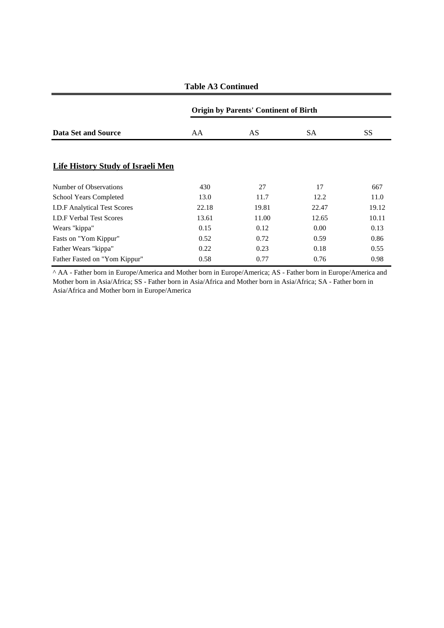|                                   | <b>Origin by Parents' Continent of Birth</b> |           |       |           |  |  |  |
|-----------------------------------|----------------------------------------------|-----------|-------|-----------|--|--|--|
| Data Set and Source               | AA                                           | AS<br>SA. |       | <b>SS</b> |  |  |  |
| Life History Study of Israeli Men |                                              |           |       |           |  |  |  |
| Number of Observations            | 430                                          | 27        | 17    | 667       |  |  |  |
| <b>School Years Completed</b>     | 13.0                                         | 11.7      | 12.2  | 11.0      |  |  |  |
| I.D.F Analytical Test Scores      | 22.18                                        | 19.81     | 22.47 | 19.12     |  |  |  |
| <b>LD.F Verbal Test Scores</b>    | 13.61                                        | 11.00     | 12.65 | 10.11     |  |  |  |
| Wears "kippa"                     | 0.15                                         | 0.12      | 0.00  | 0.13      |  |  |  |
| Fasts on "Yom Kippur"             | 0.52                                         | 0.72      | 0.59  | 0.86      |  |  |  |
| Father Wears "kippa"              | 0.22                                         | 0.23      | 0.18  | 0.55      |  |  |  |
| Father Fasted on "Yom Kippur"     | 0.58                                         | 0.77      | 0.76  | 0.98      |  |  |  |

### **Table A3 Continued**

^ AA - Father born in Europe/America and Mother born in Europe/America; AS - Father born in Europe/America and Mother born in Asia/Africa; SS - Father born in Asia/Africa and Mother born in Asia/Africa; SA - Father born in Asia/Africa and Mother born in Europe/America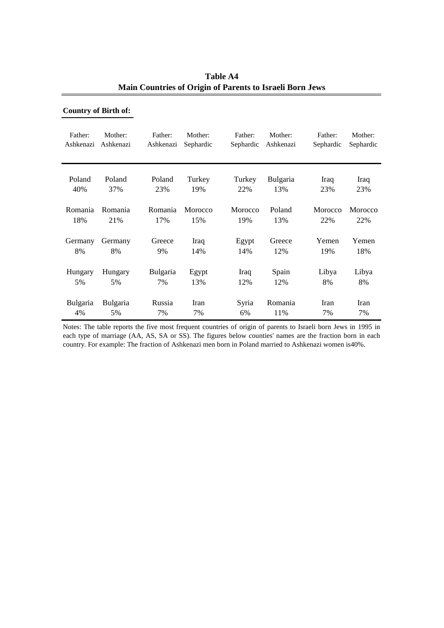| Table A4                                                        |  |
|-----------------------------------------------------------------|--|
| <b>Main Countries of Origin of Parents to Israeli Born Jews</b> |  |

# **Country of Birth of:**

| Father:   | Mother:         | Father:   | Mother:   | Father:   | Mother:   | Father:   | Mother:   |
|-----------|-----------------|-----------|-----------|-----------|-----------|-----------|-----------|
| Ashkenazi | Ashkenazi       | Ashkenazi | Sephardic | Sephardic | Ashkenazi | Sephardic | Sephardic |
| Poland    | Poland          | Poland    | Turkey    | Turkey    | Bulgaria  | Iraq      | Iraq      |
| 40%       | 37%             | 23%       | 19%       | 22%       | 13%       | 23%       | 23%       |
| Romania   | Romania         | Romania   | Morocco   | Morocco   | Poland    | Morocco   | Morocco   |
| 18%       | 21%             | 17%       | 15%       | 19%       | 13%       | 22%       | 22%       |
| Germany   | Germany         | Greece    | Iraq      | Egypt     | Greece    | Yemen     | Yemen     |
| 8%        | 8%              | 9%        | 14%       | 14%       | 12%       | 19%       | 18%       |
| Hungary   | Hungary         | Bulgaria  | Egypt     | Iraq      | Spain     | Libya     | Libya     |
| 5%        | 5%              | 7%        | 13%       | 12%       | 12%       | 8%        | 8%        |
| Bulgaria  | <b>Bulgaria</b> | Russia    | Iran      | Syria     | Romania   | Iran      | Iran      |
| 4%        | 5%              | 7%        | 7%        | 6%        | 11%       | 7%        | 7%        |

Notes: The table reports the five most frequent countries of origin of parents to Israeli born Jews in 1995 in each type of marriage (AA, AS, SA or SS). The figures below counties' names are the fraction born in each country. For example: The fraction of Ashkenazi men born in Poland married to Ashkenazi women is40%.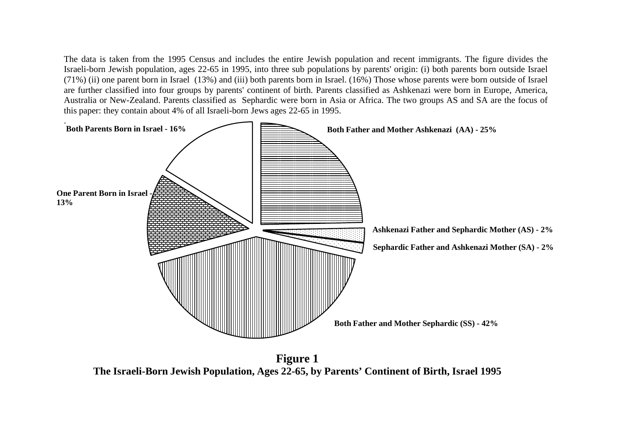The data is taken from the 1995 Census and includes the entire Jewish population and recent immigrants. The figure divides the Israeli-born Jewish population, ages 22-65 in 1995, into three sub populations by parents' origin: (i) both parents born outside Israel (71%) (ii) one parent born in Israel (13%) and (iii) both parents born in Israel. (16%) Those whose parents were born outside of Israel are further classified into four groups by parents' continent of birth. Parents classified as Ashkenazi were born in Europe, America, Australia or New-Zealand. Parents classified as Sephardic were born in Asia or Africa. The two groups AS and SA are the focus of this paper: they contain about 4% of all Israeli-born Jews ages 22-65 in 1995.



**Figure 1 The Israeli-Born Jewish Population, Ages 22-65, by Parents' Continent of Birth, Israel 1995**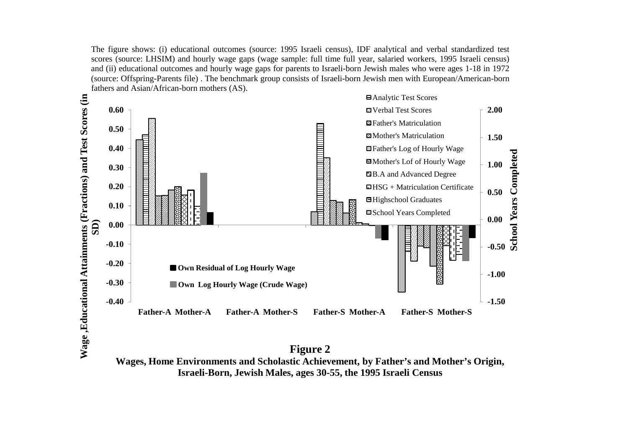The figure shows: (i) educational outcomes (source: 1995 Israeli census), IDF analytical and verbal standardized test scores (source: LHSIM) and hourly wage gaps (wage sample: full time full year, salaried workers, 1995 Israeli census) and (ii) educational outcomes and hourly wage gaps for parents to Israeli-born Jewish males who were ages 1-18 in 1972 (source: Offspring-Parents file) . The benchmark group consists of Israeli-born Jewish men with European/American-born fathers and Asian/African-born mothers (AS).



**Figure 2 Wages, Home Environments and Scholastic Achievement, by Father's and Mother's Origin, Israeli-Born, Jewish Males, ages 30-55, the 1995 Israeli Census**